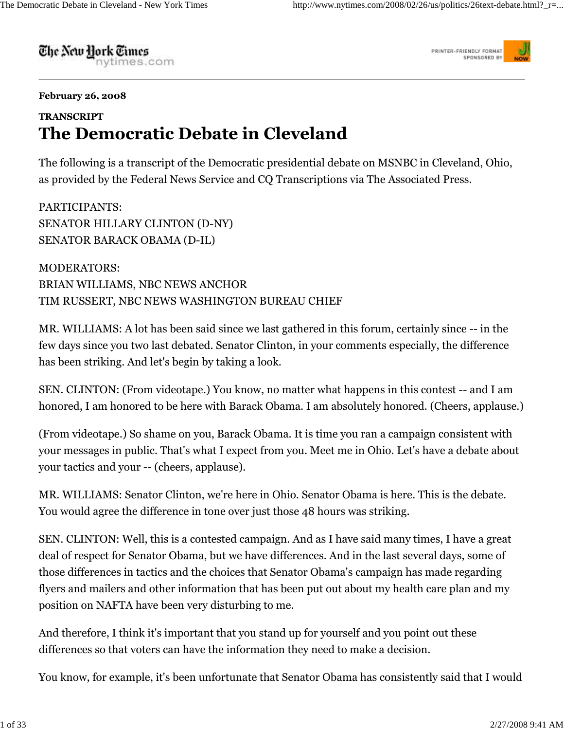The New Hork Times nytimes.com



February 26, 2008

# TRANSCRIPT The Democratic Debate in Cleveland

The following is a transcript of the Democratic presidential debate on MSNBC in Cleveland, Ohio, as provided by the Federal News Service and CQ Transcriptions via The Associated Press.

PARTICIPANTS: SENATOR HILLARY CLINTON (D-NY) SENATOR BARACK OBAMA (D-IL)

# MODERATORS: BRIAN WILLIAMS, NBC NEWS ANCHOR TIM RUSSERT, NBC NEWS WASHINGTON BUREAU CHIEF

MR. WILLIAMS: A lot has been said since we last gathered in this forum, certainly since -- in the few days since you two last debated. Senator Clinton, in your comments especially, the difference has been striking. And let's begin by taking a look.

SEN. CLINTON: (From videotape.) You know, no matter what happens in this contest -- and I am honored, I am honored to be here with Barack Obama. I am absolutely honored. (Cheers, applause.)

(From videotape.) So shame on you, Barack Obama. It is time you ran a campaign consistent with your messages in public. That's what I expect from you. Meet me in Ohio. Let's have a debate about your tactics and your -- (cheers, applause).

MR. WILLIAMS: Senator Clinton, we're here in Ohio. Senator Obama is here. This is the debate. You would agree the difference in tone over just those 48 hours was striking.

SEN. CLINTON: Well, this is a contested campaign. And as I have said many times, I have a great deal of respect for Senator Obama, but we have differences. And in the last several days, some of those differences in tactics and the choices that Senator Obama's campaign has made regarding flyers and mailers and other information that has been put out about my health care plan and my position on NAFTA have been very disturbing to me.

And therefore, I think it's important that you stand up for yourself and you point out these differences so that voters can have the information they need to make a decision.

You know, for example, it's been unfortunate that Senator Obama has consistently said that I would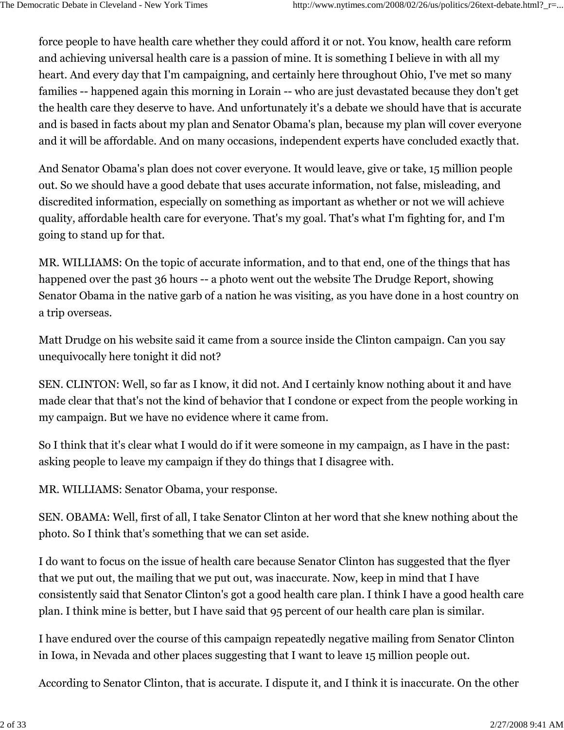force people to have health care whether they could afford it or not. You know, health care reform and achieving universal health care is a passion of mine. It is something I believe in with all my heart. And every day that I'm campaigning, and certainly here throughout Ohio, I've met so many families -- happened again this morning in Lorain -- who are just devastated because they don't get the health care they deserve to have. And unfortunately it's a debate we should have that is accurate and is based in facts about my plan and Senator Obama's plan, because my plan will cover everyone and it will be affordable. And on many occasions, independent experts have concluded exactly that.

And Senator Obama's plan does not cover everyone. It would leave, give or take, 15 million people out. So we should have a good debate that uses accurate information, not false, misleading, and discredited information, especially on something as important as whether or not we will achieve quality, affordable health care for everyone. That's my goal. That's what I'm fighting for, and I'm going to stand up for that.

MR. WILLIAMS: On the topic of accurate information, and to that end, one of the things that has happened over the past 36 hours -- a photo went out the website The Drudge Report, showing Senator Obama in the native garb of a nation he was visiting, as you have done in a host country on a trip overseas.

Matt Drudge on his website said it came from a source inside the Clinton campaign. Can you say unequivocally here tonight it did not?

SEN. CLINTON: Well, so far as I know, it did not. And I certainly know nothing about it and have made clear that that's not the kind of behavior that I condone or expect from the people working in my campaign. But we have no evidence where it came from.

So I think that it's clear what I would do if it were someone in my campaign, as I have in the past: asking people to leave my campaign if they do things that I disagree with.

MR. WILLIAMS: Senator Obama, your response.

SEN. OBAMA: Well, first of all, I take Senator Clinton at her word that she knew nothing about the photo. So I think that's something that we can set aside.

I do want to focus on the issue of health care because Senator Clinton has suggested that the flyer that we put out, the mailing that we put out, was inaccurate. Now, keep in mind that I have consistently said that Senator Clinton's got a good health care plan. I think I have a good health care plan. I think mine is better, but I have said that 95 percent of our health care plan is similar.

I have endured over the course of this campaign repeatedly negative mailing from Senator Clinton in Iowa, in Nevada and other places suggesting that I want to leave 15 million people out.

According to Senator Clinton, that is accurate. I dispute it, and I think it is inaccurate. On the other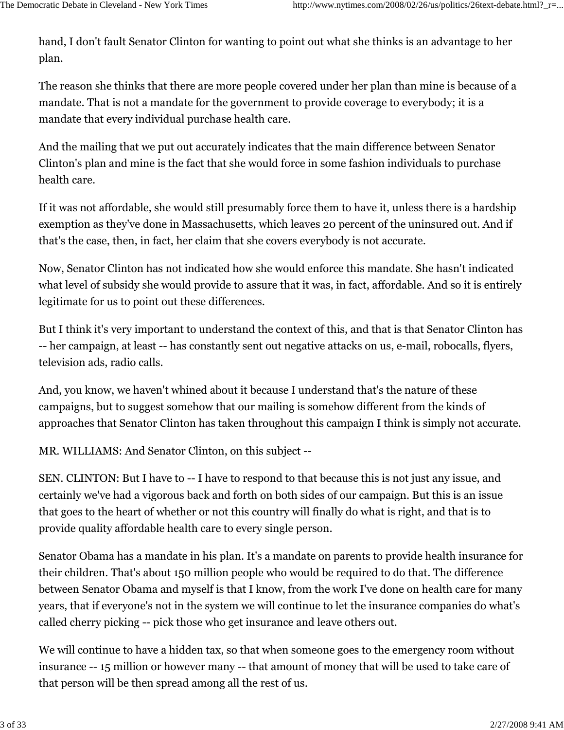hand, I don't fault Senator Clinton for wanting to point out what she thinks is an advantage to her plan.

The reason she thinks that there are more people covered under her plan than mine is because of a mandate. That is not a mandate for the government to provide coverage to everybody; it is a mandate that every individual purchase health care.

And the mailing that we put out accurately indicates that the main difference between Senator Clinton's plan and mine is the fact that she would force in some fashion individuals to purchase health care.

If it was not affordable, she would still presumably force them to have it, unless there is a hardship exemption as they've done in Massachusetts, which leaves 20 percent of the uninsured out. And if that's the case, then, in fact, her claim that she covers everybody is not accurate.

Now, Senator Clinton has not indicated how she would enforce this mandate. She hasn't indicated what level of subsidy she would provide to assure that it was, in fact, affordable. And so it is entirely legitimate for us to point out these differences.

But I think it's very important to understand the context of this, and that is that Senator Clinton has -- her campaign, at least -- has constantly sent out negative attacks on us, e-mail, robocalls, flyers, television ads, radio calls.

And, you know, we haven't whined about it because I understand that's the nature of these campaigns, but to suggest somehow that our mailing is somehow different from the kinds of approaches that Senator Clinton has taken throughout this campaign I think is simply not accurate.

MR. WILLIAMS: And Senator Clinton, on this subject --

SEN. CLINTON: But I have to -- I have to respond to that because this is not just any issue, and certainly we've had a vigorous back and forth on both sides of our campaign. But this is an issue that goes to the heart of whether or not this country will finally do what is right, and that is to provide quality affordable health care to every single person.

Senator Obama has a mandate in his plan. It's a mandate on parents to provide health insurance for their children. That's about 150 million people who would be required to do that. The difference between Senator Obama and myself is that I know, from the work I've done on health care for many years, that if everyone's not in the system we will continue to let the insurance companies do what's called cherry picking -- pick those who get insurance and leave others out.

We will continue to have a hidden tax, so that when someone goes to the emergency room without insurance -- 15 million or however many -- that amount of money that will be used to take care of that person will be then spread among all the rest of us.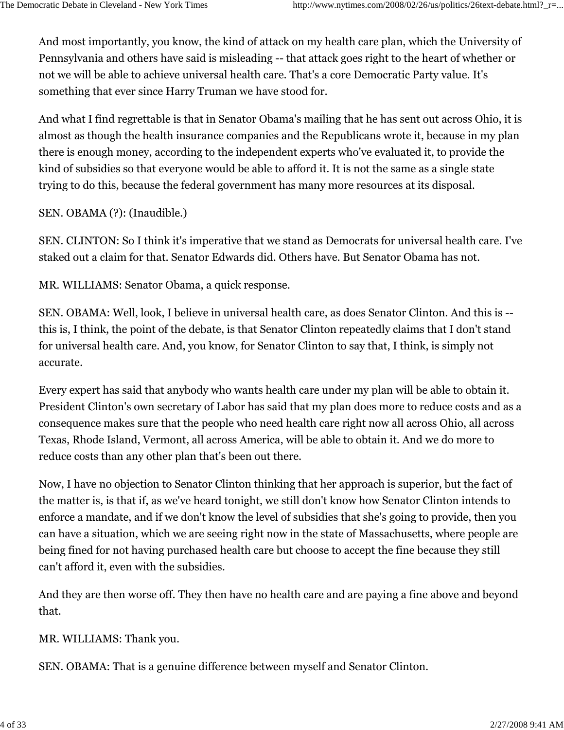And most importantly, you know, the kind of attack on my health care plan, which the University of Pennsylvania and others have said is misleading -- that attack goes right to the heart of whether or not we will be able to achieve universal health care. That's a core Democratic Party value. It's something that ever since Harry Truman we have stood for.

And what I find regrettable is that in Senator Obama's mailing that he has sent out across Ohio, it is almost as though the health insurance companies and the Republicans wrote it, because in my plan there is enough money, according to the independent experts who've evaluated it, to provide the kind of subsidies so that everyone would be able to afford it. It is not the same as a single state trying to do this, because the federal government has many more resources at its disposal.

```
SEN. OBAMA (?): (Inaudible.)
```
SEN. CLINTON: So I think it's imperative that we stand as Democrats for universal health care. I've staked out a claim for that. Senator Edwards did. Others have. But Senator Obama has not.

MR. WILLIAMS: Senator Obama, a quick response.

SEN. OBAMA: Well, look, I believe in universal health care, as does Senator Clinton. And this is - this is, I think, the point of the debate, is that Senator Clinton repeatedly claims that I don't stand for universal health care. And, you know, for Senator Clinton to say that, I think, is simply not accurate.

Every expert has said that anybody who wants health care under my plan will be able to obtain it. President Clinton's own secretary of Labor has said that my plan does more to reduce costs and as a consequence makes sure that the people who need health care right now all across Ohio, all across Texas, Rhode Island, Vermont, all across America, will be able to obtain it. And we do more to reduce costs than any other plan that's been out there.

Now, I have no objection to Senator Clinton thinking that her approach is superior, but the fact of the matter is, is that if, as we've heard tonight, we still don't know how Senator Clinton intends to enforce a mandate, and if we don't know the level of subsidies that she's going to provide, then you can have a situation, which we are seeing right now in the state of Massachusetts, where people are being fined for not having purchased health care but choose to accept the fine because they still can't afford it, even with the subsidies.

And they are then worse off. They then have no health care and are paying a fine above and beyond that.

MR. WILLIAMS: Thank you.

SEN. OBAMA: That is a genuine difference between myself and Senator Clinton.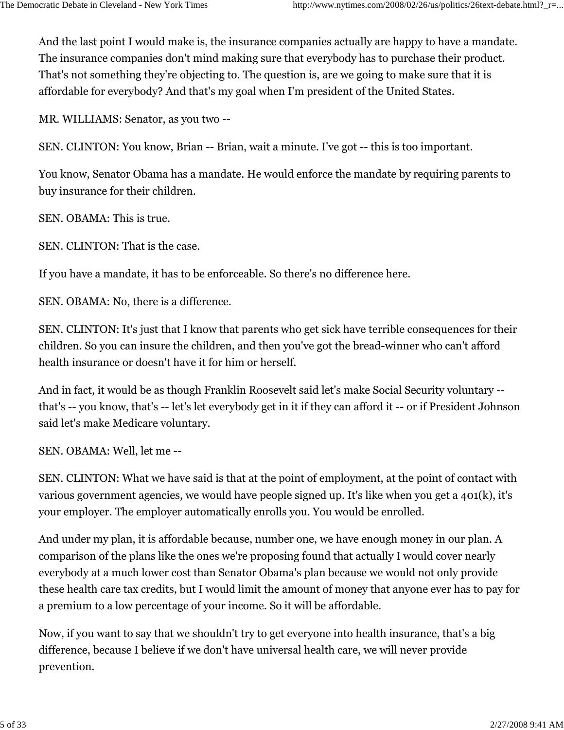And the last point I would make is, the insurance companies actually are happy to have a mandate. The insurance companies don't mind making sure that everybody has to purchase their product. That's not something they're objecting to. The question is, are we going to make sure that it is affordable for everybody? And that's my goal when I'm president of the United States.

MR. WILLIAMS: Senator, as you two --

SEN. CLINTON: You know, Brian -- Brian, wait a minute. I've got -- this is too important.

You know, Senator Obama has a mandate. He would enforce the mandate by requiring parents to buy insurance for their children.

SEN. OBAMA: This is true.

SEN. CLINTON: That is the case.

If you have a mandate, it has to be enforceable. So there's no difference here.

SEN. OBAMA: No, there is a difference.

SEN. CLINTON: It's just that I know that parents who get sick have terrible consequences for their children. So you can insure the children, and then you've got the bread-winner who can't afford health insurance or doesn't have it for him or herself.

And in fact, it would be as though Franklin Roosevelt said let's make Social Security voluntary - that's -- you know, that's -- let's let everybody get in it if they can afford it -- or if President Johnson said let's make Medicare voluntary.

SEN. OBAMA: Well, let me --

SEN. CLINTON: What we have said is that at the point of employment, at the point of contact with various government agencies, we would have people signed up. It's like when you get a 401(k), it's your employer. The employer automatically enrolls you. You would be enrolled.

And under my plan, it is affordable because, number one, we have enough money in our plan. A comparison of the plans like the ones we're proposing found that actually I would cover nearly everybody at a much lower cost than Senator Obama's plan because we would not only provide these health care tax credits, but I would limit the amount of money that anyone ever has to pay for a premium to a low percentage of your income. So it will be affordable.

Now, if you want to say that we shouldn't try to get everyone into health insurance, that's a big difference, because I believe if we don't have universal health care, we will never provide prevention.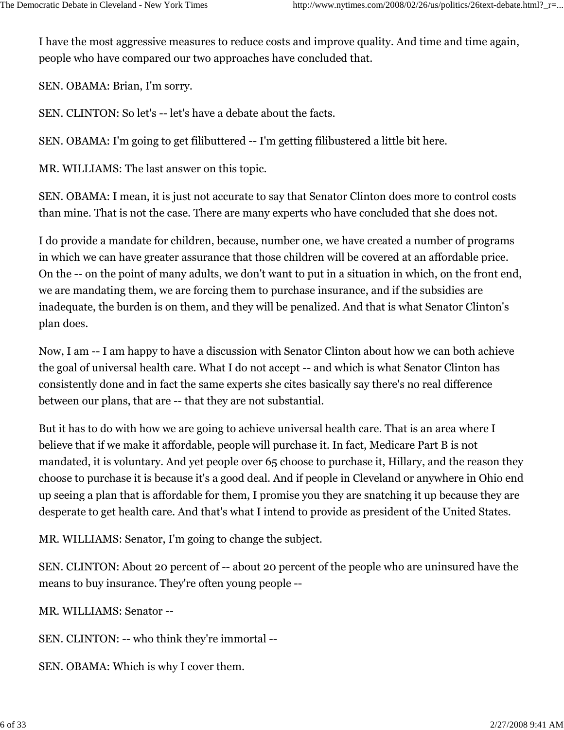I have the most aggressive measures to reduce costs and improve quality. And time and time again, people who have compared our two approaches have concluded that.

SEN. OBAMA: Brian, I'm sorry.

SEN. CLINTON: So let's -- let's have a debate about the facts.

SEN. OBAMA: I'm going to get filibuttered -- I'm getting filibustered a little bit here.

MR. WILLIAMS: The last answer on this topic.

SEN. OBAMA: I mean, it is just not accurate to say that Senator Clinton does more to control costs than mine. That is not the case. There are many experts who have concluded that she does not.

I do provide a mandate for children, because, number one, we have created a number of programs in which we can have greater assurance that those children will be covered at an affordable price. On the -- on the point of many adults, we don't want to put in a situation in which, on the front end, we are mandating them, we are forcing them to purchase insurance, and if the subsidies are inadequate, the burden is on them, and they will be penalized. And that is what Senator Clinton's plan does.

Now, I am -- I am happy to have a discussion with Senator Clinton about how we can both achieve the goal of universal health care. What I do not accept -- and which is what Senator Clinton has consistently done and in fact the same experts she cites basically say there's no real difference between our plans, that are -- that they are not substantial.

But it has to do with how we are going to achieve universal health care. That is an area where I believe that if we make it affordable, people will purchase it. In fact, Medicare Part B is not mandated, it is voluntary. And yet people over 65 choose to purchase it, Hillary, and the reason they choose to purchase it is because it's a good deal. And if people in Cleveland or anywhere in Ohio end up seeing a plan that is affordable for them, I promise you they are snatching it up because they are desperate to get health care. And that's what I intend to provide as president of the United States.

MR. WILLIAMS: Senator, I'm going to change the subject.

SEN. CLINTON: About 20 percent of -- about 20 percent of the people who are uninsured have the means to buy insurance. They're often young people --

MR. WILLIAMS: Senator --

SEN. CLINTON: -- who think they're immortal --

SEN. OBAMA: Which is why I cover them.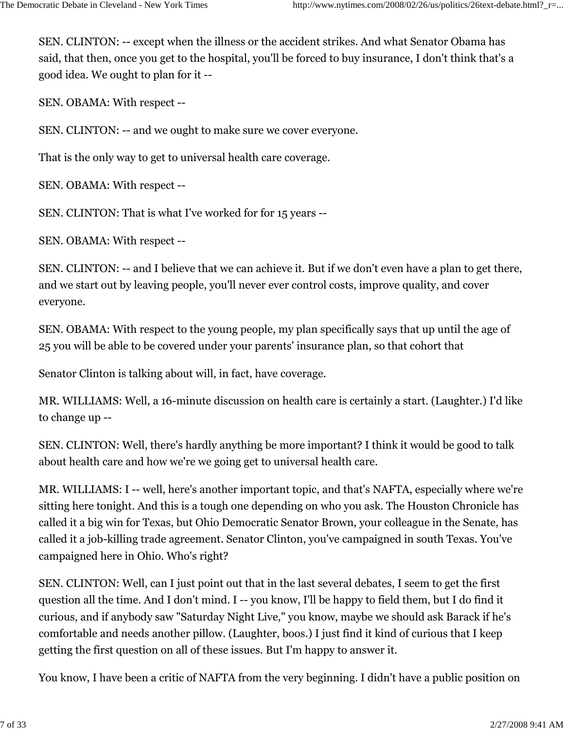SEN. CLINTON: -- except when the illness or the accident strikes. And what Senator Obama has said, that then, once you get to the hospital, you'll be forced to buy insurance, I don't think that's a good idea. We ought to plan for it --

SEN. OBAMA: With respect --

SEN. CLINTON: -- and we ought to make sure we cover everyone.

That is the only way to get to universal health care coverage.

SEN. OBAMA: With respect --

SEN. CLINTON: That is what I've worked for for 15 years --

SEN. OBAMA: With respect --

SEN. CLINTON: -- and I believe that we can achieve it. But if we don't even have a plan to get there, and we start out by leaving people, you'll never ever control costs, improve quality, and cover everyone.

SEN. OBAMA: With respect to the young people, my plan specifically says that up until the age of 25 you will be able to be covered under your parents' insurance plan, so that cohort that

Senator Clinton is talking about will, in fact, have coverage.

MR. WILLIAMS: Well, a 16-minute discussion on health care is certainly a start. (Laughter.) I'd like to change up --

SEN. CLINTON: Well, there's hardly anything be more important? I think it would be good to talk about health care and how we're we going get to universal health care.

MR. WILLIAMS: I -- well, here's another important topic, and that's NAFTA, especially where we're sitting here tonight. And this is a tough one depending on who you ask. The Houston Chronicle has called it a big win for Texas, but Ohio Democratic Senator Brown, your colleague in the Senate, has called it a job-killing trade agreement. Senator Clinton, you've campaigned in south Texas. You've campaigned here in Ohio. Who's right?

SEN. CLINTON: Well, can I just point out that in the last several debates, I seem to get the first question all the time. And I don't mind. I -- you know, I'll be happy to field them, but I do find it curious, and if anybody saw "Saturday Night Live," you know, maybe we should ask Barack if he's comfortable and needs another pillow. (Laughter, boos.) I just find it kind of curious that I keep getting the first question on all of these issues. But I'm happy to answer it.

You know, I have been a critic of NAFTA from the very beginning. I didn't have a public position on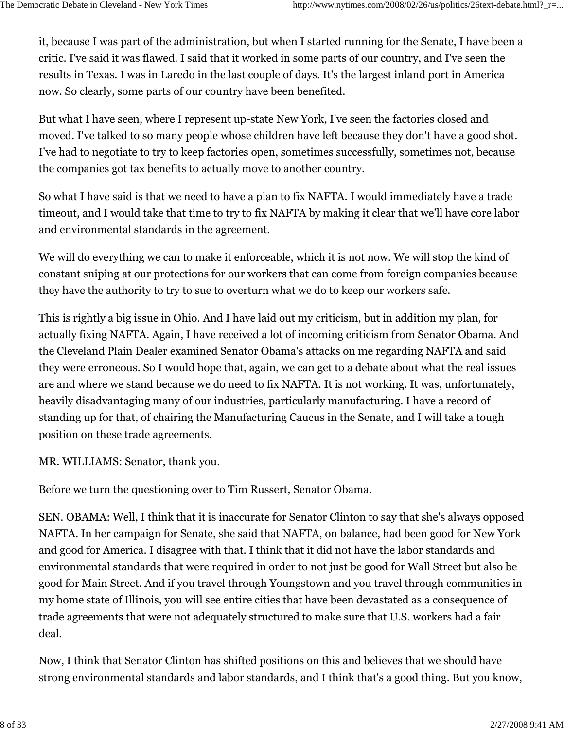it, because I was part of the administration, but when I started running for the Senate, I have been a critic. I've said it was flawed. I said that it worked in some parts of our country, and I've seen the results in Texas. I was in Laredo in the last couple of days. It's the largest inland port in America now. So clearly, some parts of our country have been benefited.

But what I have seen, where I represent up-state New York, I've seen the factories closed and moved. I've talked to so many people whose children have left because they don't have a good shot. I've had to negotiate to try to keep factories open, sometimes successfully, sometimes not, because the companies got tax benefits to actually move to another country.

So what I have said is that we need to have a plan to fix NAFTA. I would immediately have a trade timeout, and I would take that time to try to fix NAFTA by making it clear that we'll have core labor and environmental standards in the agreement.

We will do everything we can to make it enforceable, which it is not now. We will stop the kind of constant sniping at our protections for our workers that can come from foreign companies because they have the authority to try to sue to overturn what we do to keep our workers safe.

This is rightly a big issue in Ohio. And I have laid out my criticism, but in addition my plan, for actually fixing NAFTA. Again, I have received a lot of incoming criticism from Senator Obama. And the Cleveland Plain Dealer examined Senator Obama's attacks on me regarding NAFTA and said they were erroneous. So I would hope that, again, we can get to a debate about what the real issues are and where we stand because we do need to fix NAFTA. It is not working. It was, unfortunately, heavily disadvantaging many of our industries, particularly manufacturing. I have a record of standing up for that, of chairing the Manufacturing Caucus in the Senate, and I will take a tough position on these trade agreements.

MR. WILLIAMS: Senator, thank you.

Before we turn the questioning over to Tim Russert, Senator Obama.

SEN. OBAMA: Well, I think that it is inaccurate for Senator Clinton to say that she's always opposed NAFTA. In her campaign for Senate, she said that NAFTA, on balance, had been good for New York and good for America. I disagree with that. I think that it did not have the labor standards and environmental standards that were required in order to not just be good for Wall Street but also be good for Main Street. And if you travel through Youngstown and you travel through communities in my home state of Illinois, you will see entire cities that have been devastated as a consequence of trade agreements that were not adequately structured to make sure that U.S. workers had a fair deal.

Now, I think that Senator Clinton has shifted positions on this and believes that we should have strong environmental standards and labor standards, and I think that's a good thing. But you know,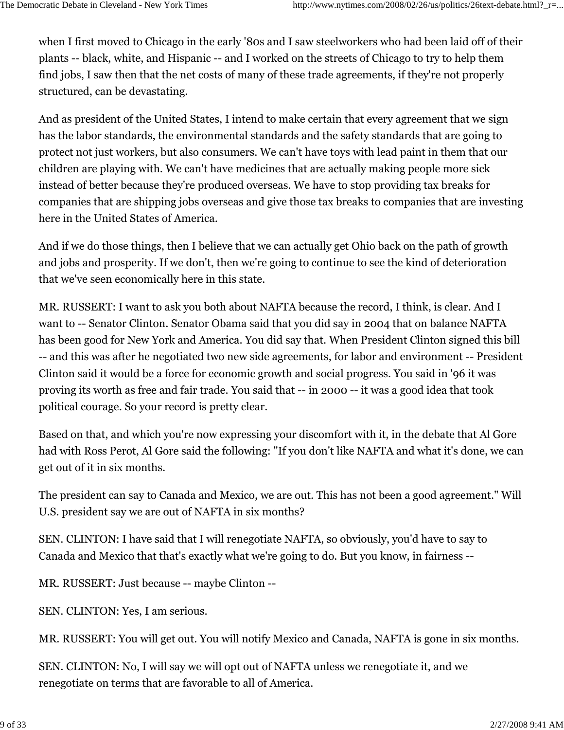when I first moved to Chicago in the early '80s and I saw steelworkers who had been laid off of their plants -- black, white, and Hispanic -- and I worked on the streets of Chicago to try to help them find jobs, I saw then that the net costs of many of these trade agreements, if they're not properly structured, can be devastating.

And as president of the United States, I intend to make certain that every agreement that we sign has the labor standards, the environmental standards and the safety standards that are going to protect not just workers, but also consumers. We can't have toys with lead paint in them that our children are playing with. We can't have medicines that are actually making people more sick instead of better because they're produced overseas. We have to stop providing tax breaks for companies that are shipping jobs overseas and give those tax breaks to companies that are investing here in the United States of America.

And if we do those things, then I believe that we can actually get Ohio back on the path of growth and jobs and prosperity. If we don't, then we're going to continue to see the kind of deterioration that we've seen economically here in this state.

MR. RUSSERT: I want to ask you both about NAFTA because the record, I think, is clear. And I want to -- Senator Clinton. Senator Obama said that you did say in 2004 that on balance NAFTA has been good for New York and America. You did say that. When President Clinton signed this bill -- and this was after he negotiated two new side agreements, for labor and environment -- President Clinton said it would be a force for economic growth and social progress. You said in '96 it was proving its worth as free and fair trade. You said that -- in 2000 -- it was a good idea that took political courage. So your record is pretty clear.

Based on that, and which you're now expressing your discomfort with it, in the debate that Al Gore had with Ross Perot, Al Gore said the following: "If you don't like NAFTA and what it's done, we can get out of it in six months.

The president can say to Canada and Mexico, we are out. This has not been a good agreement." Will U.S. president say we are out of NAFTA in six months?

SEN. CLINTON: I have said that I will renegotiate NAFTA, so obviously, you'd have to say to Canada and Mexico that that's exactly what we're going to do. But you know, in fairness --

MR. RUSSERT: Just because -- maybe Clinton --

SEN. CLINTON: Yes, I am serious.

MR. RUSSERT: You will get out. You will notify Mexico and Canada, NAFTA is gone in six months.

SEN. CLINTON: No, I will say we will opt out of NAFTA unless we renegotiate it, and we renegotiate on terms that are favorable to all of America.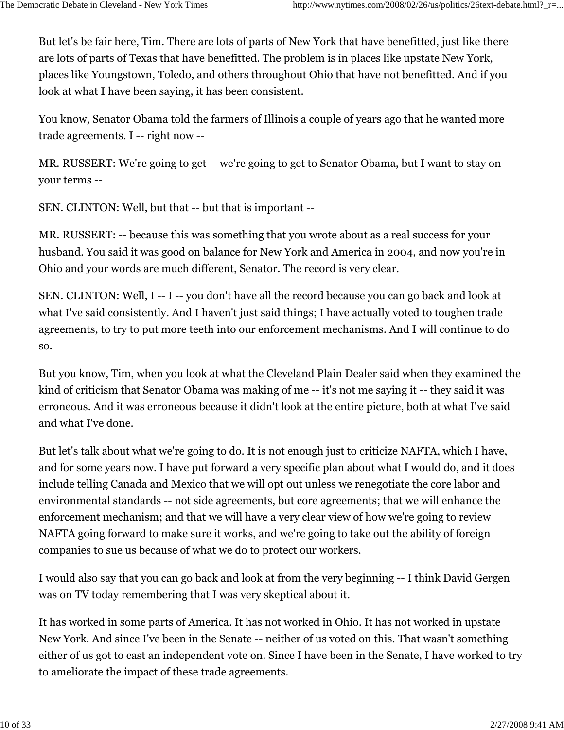But let's be fair here, Tim. There are lots of parts of New York that have benefitted, just like there are lots of parts of Texas that have benefitted. The problem is in places like upstate New York, places like Youngstown, Toledo, and others throughout Ohio that have not benefitted. And if you look at what I have been saying, it has been consistent.

You know, Senator Obama told the farmers of Illinois a couple of years ago that he wanted more trade agreements. I -- right now --

MR. RUSSERT: We're going to get -- we're going to get to Senator Obama, but I want to stay on your terms --

SEN. CLINTON: Well, but that -- but that is important --

MR. RUSSERT: -- because this was something that you wrote about as a real success for your husband. You said it was good on balance for New York and America in 2004, and now you're in Ohio and your words are much different, Senator. The record is very clear.

SEN. CLINTON: Well, I -- I -- you don't have all the record because you can go back and look at what I've said consistently. And I haven't just said things; I have actually voted to toughen trade agreements, to try to put more teeth into our enforcement mechanisms. And I will continue to do so.

But you know, Tim, when you look at what the Cleveland Plain Dealer said when they examined the kind of criticism that Senator Obama was making of me -- it's not me saying it -- they said it was erroneous. And it was erroneous because it didn't look at the entire picture, both at what I've said and what I've done.

But let's talk about what we're going to do. It is not enough just to criticize NAFTA, which I have, and for some years now. I have put forward a very specific plan about what I would do, and it does include telling Canada and Mexico that we will opt out unless we renegotiate the core labor and environmental standards -- not side agreements, but core agreements; that we will enhance the enforcement mechanism; and that we will have a very clear view of how we're going to review NAFTA going forward to make sure it works, and we're going to take out the ability of foreign companies to sue us because of what we do to protect our workers.

I would also say that you can go back and look at from the very beginning -- I think David Gergen was on TV today remembering that I was very skeptical about it.

It has worked in some parts of America. It has not worked in Ohio. It has not worked in upstate New York. And since I've been in the Senate -- neither of us voted on this. That wasn't something either of us got to cast an independent vote on. Since I have been in the Senate, I have worked to try to ameliorate the impact of these trade agreements.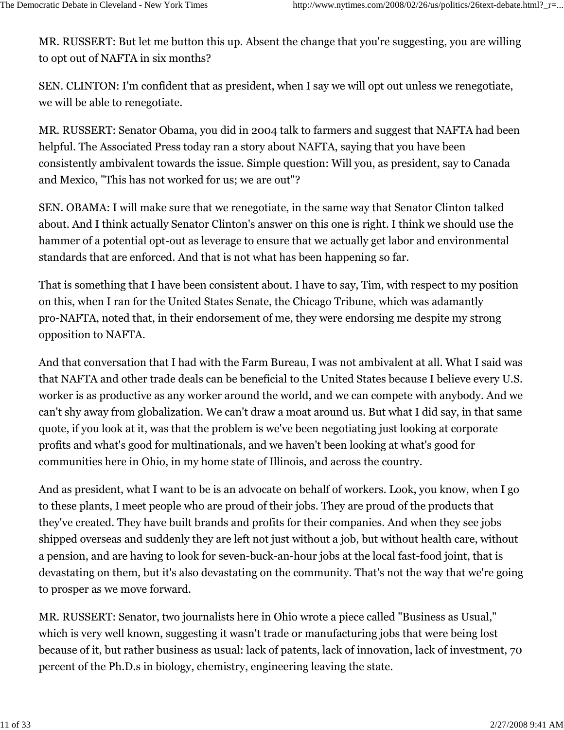MR. RUSSERT: But let me button this up. Absent the change that you're suggesting, you are willing to opt out of NAFTA in six months?

SEN. CLINTON: I'm confident that as president, when I say we will opt out unless we renegotiate, we will be able to renegotiate.

MR. RUSSERT: Senator Obama, you did in 2004 talk to farmers and suggest that NAFTA had been helpful. The Associated Press today ran a story about NAFTA, saying that you have been consistently ambivalent towards the issue. Simple question: Will you, as president, say to Canada and Mexico, "This has not worked for us; we are out"?

SEN. OBAMA: I will make sure that we renegotiate, in the same way that Senator Clinton talked about. And I think actually Senator Clinton's answer on this one is right. I think we should use the hammer of a potential opt-out as leverage to ensure that we actually get labor and environmental standards that are enforced. And that is not what has been happening so far.

That is something that I have been consistent about. I have to say, Tim, with respect to my position on this, when I ran for the United States Senate, the Chicago Tribune, which was adamantly pro-NAFTA, noted that, in their endorsement of me, they were endorsing me despite my strong opposition to NAFTA.

And that conversation that I had with the Farm Bureau, I was not ambivalent at all. What I said was that NAFTA and other trade deals can be beneficial to the United States because I believe every U.S. worker is as productive as any worker around the world, and we can compete with anybody. And we can't shy away from globalization. We can't draw a moat around us. But what I did say, in that same quote, if you look at it, was that the problem is we've been negotiating just looking at corporate profits and what's good for multinationals, and we haven't been looking at what's good for communities here in Ohio, in my home state of Illinois, and across the country.

And as president, what I want to be is an advocate on behalf of workers. Look, you know, when I go to these plants, I meet people who are proud of their jobs. They are proud of the products that they've created. They have built brands and profits for their companies. And when they see jobs shipped overseas and suddenly they are left not just without a job, but without health care, without a pension, and are having to look for seven-buck-an-hour jobs at the local fast-food joint, that is devastating on them, but it's also devastating on the community. That's not the way that we're going to prosper as we move forward.

MR. RUSSERT: Senator, two journalists here in Ohio wrote a piece called "Business as Usual," which is very well known, suggesting it wasn't trade or manufacturing jobs that were being lost because of it, but rather business as usual: lack of patents, lack of innovation, lack of investment, 70 percent of the Ph.D.s in biology, chemistry, engineering leaving the state.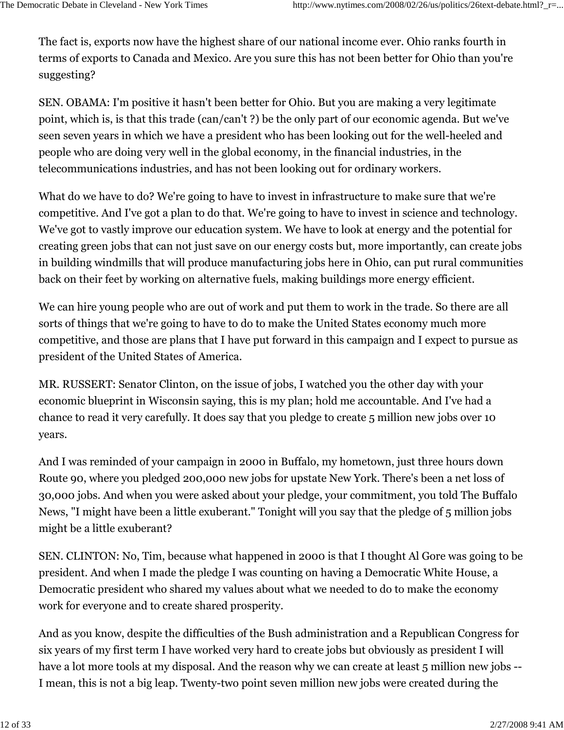The fact is, exports now have the highest share of our national income ever. Ohio ranks fourth in terms of exports to Canada and Mexico. Are you sure this has not been better for Ohio than you're suggesting?

SEN. OBAMA: I'm positive it hasn't been better for Ohio. But you are making a very legitimate point, which is, is that this trade (can/can't ?) be the only part of our economic agenda. But we've seen seven years in which we have a president who has been looking out for the well-heeled and people who are doing very well in the global economy, in the financial industries, in the telecommunications industries, and has not been looking out for ordinary workers.

What do we have to do? We're going to have to invest in infrastructure to make sure that we're competitive. And I've got a plan to do that. We're going to have to invest in science and technology. We've got to vastly improve our education system. We have to look at energy and the potential for creating green jobs that can not just save on our energy costs but, more importantly, can create jobs in building windmills that will produce manufacturing jobs here in Ohio, can put rural communities back on their feet by working on alternative fuels, making buildings more energy efficient.

We can hire young people who are out of work and put them to work in the trade. So there are all sorts of things that we're going to have to do to make the United States economy much more competitive, and those are plans that I have put forward in this campaign and I expect to pursue as president of the United States of America.

MR. RUSSERT: Senator Clinton, on the issue of jobs, I watched you the other day with your economic blueprint in Wisconsin saying, this is my plan; hold me accountable. And I've had a chance to read it very carefully. It does say that you pledge to create 5 million new jobs over 10 years.

And I was reminded of your campaign in 2000 in Buffalo, my hometown, just three hours down Route 90, where you pledged 200,000 new jobs for upstate New York. There's been a net loss of 30,000 jobs. And when you were asked about your pledge, your commitment, you told The Buffalo News, "I might have been a little exuberant." Tonight will you say that the pledge of 5 million jobs might be a little exuberant?

SEN. CLINTON: No, Tim, because what happened in 2000 is that I thought Al Gore was going to be president. And when I made the pledge I was counting on having a Democratic White House, a Democratic president who shared my values about what we needed to do to make the economy work for everyone and to create shared prosperity.

And as you know, despite the difficulties of the Bush administration and a Republican Congress for six years of my first term I have worked very hard to create jobs but obviously as president I will have a lot more tools at my disposal. And the reason why we can create at least 5 million new jobs --I mean, this is not a big leap. Twenty-two point seven million new jobs were created during the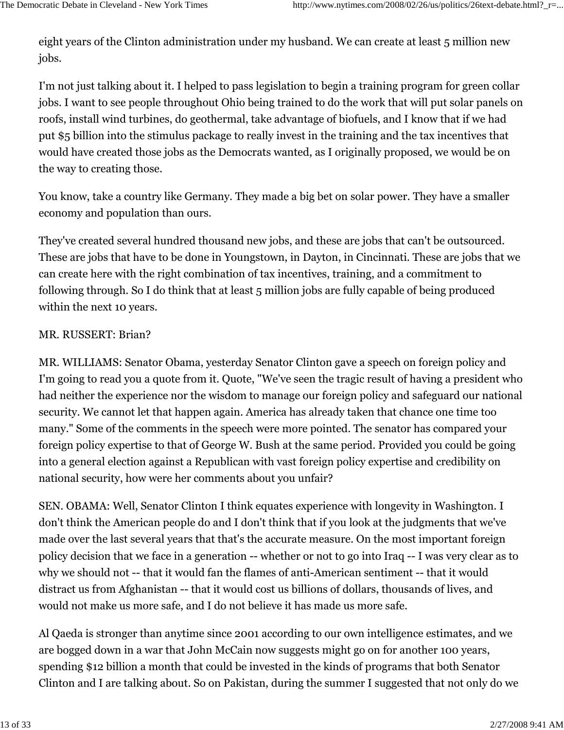eight years of the Clinton administration under my husband. We can create at least 5 million new jobs.

I'm not just talking about it. I helped to pass legislation to begin a training program for green collar jobs. I want to see people throughout Ohio being trained to do the work that will put solar panels on roofs, install wind turbines, do geothermal, take advantage of biofuels, and I know that if we had put \$5 billion into the stimulus package to really invest in the training and the tax incentives that would have created those jobs as the Democrats wanted, as I originally proposed, we would be on the way to creating those.

You know, take a country like Germany. They made a big bet on solar power. They have a smaller economy and population than ours.

They've created several hundred thousand new jobs, and these are jobs that can't be outsourced. These are jobs that have to be done in Youngstown, in Dayton, in Cincinnati. These are jobs that we can create here with the right combination of tax incentives, training, and a commitment to following through. So I do think that at least 5 million jobs are fully capable of being produced within the next 10 years.

# MR. RUSSERT: Brian?

MR. WILLIAMS: Senator Obama, yesterday Senator Clinton gave a speech on foreign policy and I'm going to read you a quote from it. Quote, "We've seen the tragic result of having a president who had neither the experience nor the wisdom to manage our foreign policy and safeguard our national security. We cannot let that happen again. America has already taken that chance one time too many." Some of the comments in the speech were more pointed. The senator has compared your foreign policy expertise to that of George W. Bush at the same period. Provided you could be going into a general election against a Republican with vast foreign policy expertise and credibility on national security, how were her comments about you unfair?

SEN. OBAMA: Well, Senator Clinton I think equates experience with longevity in Washington. I don't think the American people do and I don't think that if you look at the judgments that we've made over the last several years that that's the accurate measure. On the most important foreign policy decision that we face in a generation -- whether or not to go into Iraq -- I was very clear as to why we should not -- that it would fan the flames of anti-American sentiment -- that it would distract us from Afghanistan -- that it would cost us billions of dollars, thousands of lives, and would not make us more safe, and I do not believe it has made us more safe.

Al Qaeda is stronger than anytime since 2001 according to our own intelligence estimates, and we are bogged down in a war that John McCain now suggests might go on for another 100 years, spending \$12 billion a month that could be invested in the kinds of programs that both Senator Clinton and I are talking about. So on Pakistan, during the summer I suggested that not only do we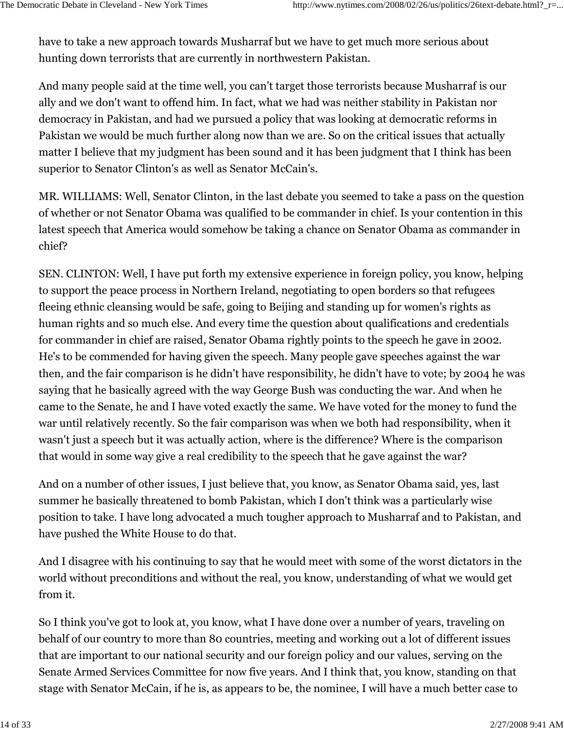have to take a new approach towards Musharraf but we have to get much more serious about hunting down terrorists that are currently in northwestern Pakistan.

And many people said at the time well, you can't target those terrorists because Musharraf is our ally and we don't want to offend him. In fact, what we had was neither stability in Pakistan nor democracy in Pakistan, and had we pursued a policy that was looking at democratic reforms in Pakistan we would be much further along now than we are. So on the critical issues that actually matter I believe that my judgment has been sound and it has been judgment that I think has been superior to Senator Clinton's as well as Senator McCain's.

MR. WILLIAMS: Well, Senator Clinton, in the last debate you seemed to take a pass on the question of whether or not Senator Obama was qualified to be commander in chief. Is your contention in this latest speech that America would somehow be taking a chance on Senator Obama as commander in chief?

SEN. CLINTON: Well, I have put forth my extensive experience in foreign policy, you know, helping to support the peace process in Northern Ireland, negotiating to open borders so that refugees fleeing ethnic cleansing would be safe, going to Beijing and standing up for women's rights as human rights and so much else. And every time the question about qualifications and credentials for commander in chief are raised, Senator Obama rightly points to the speech he gave in 2002. He's to be commended for having given the speech. Many people gave speeches against the war then, and the fair comparison is he didn't have responsibility, he didn't have to vote; by 2004 he was saying that he basically agreed with the way George Bush was conducting the war. And when he came to the Senate, he and I have voted exactly the same. We have voted for the money to fund the war until relatively recently. So the fair comparison was when we both had responsibility, when it wasn't just a speech but it was actually action, where is the difference? Where is the comparison that would in some way give a real credibility to the speech that he gave against the war?

And on a number of other issues, I just believe that, you know, as Senator Obama said, yes, last summer he basically threatened to bomb Pakistan, which I don't think was a particularly wise position to take. I have long advocated a much tougher approach to Musharraf and to Pakistan, and have pushed the White House to do that.

And I disagree with his continuing to say that he would meet with some of the worst dictators in the world without preconditions and without the real, you know, understanding of what we would get from it.

So I think you've got to look at, you know, what I have done over a number of years, traveling on behalf of our country to more than 80 countries, meeting and working out a lot of different issues that are important to our national security and our foreign policy and our values, serving on the Senate Armed Services Committee for now five years. And I think that, you know, standing on that stage with Senator McCain, if he is, as appears to be, the nominee, I will have a much better case to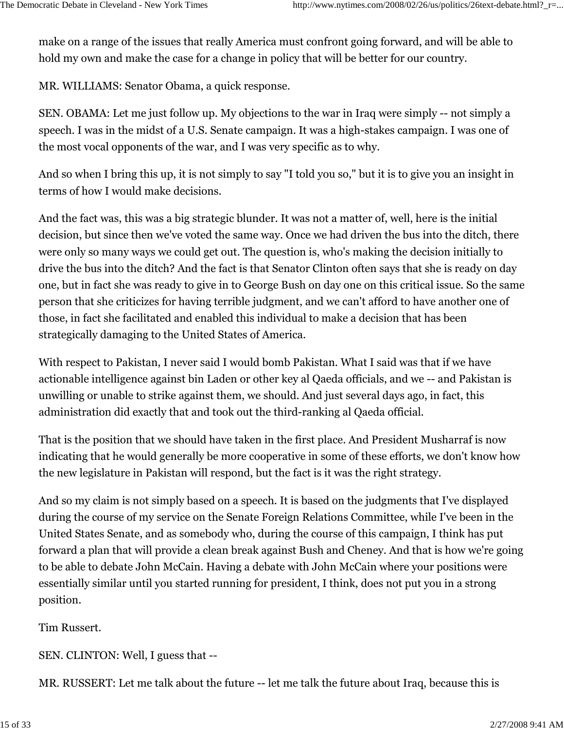make on a range of the issues that really America must confront going forward, and will be able to hold my own and make the case for a change in policy that will be better for our country.

MR. WILLIAMS: Senator Obama, a quick response.

SEN. OBAMA: Let me just follow up. My objections to the war in Iraq were simply -- not simply a speech. I was in the midst of a U.S. Senate campaign. It was a high-stakes campaign. I was one of the most vocal opponents of the war, and I was very specific as to why.

And so when I bring this up, it is not simply to say "I told you so," but it is to give you an insight in terms of how I would make decisions.

And the fact was, this was a big strategic blunder. It was not a matter of, well, here is the initial decision, but since then we've voted the same way. Once we had driven the bus into the ditch, there were only so many ways we could get out. The question is, who's making the decision initially to drive the bus into the ditch? And the fact is that Senator Clinton often says that she is ready on day one, but in fact she was ready to give in to George Bush on day one on this critical issue. So the same person that she criticizes for having terrible judgment, and we can't afford to have another one of those, in fact she facilitated and enabled this individual to make a decision that has been strategically damaging to the United States of America.

With respect to Pakistan, I never said I would bomb Pakistan. What I said was that if we have actionable intelligence against bin Laden or other key al Qaeda officials, and we -- and Pakistan is unwilling or unable to strike against them, we should. And just several days ago, in fact, this administration did exactly that and took out the third-ranking al Qaeda official.

That is the position that we should have taken in the first place. And President Musharraf is now indicating that he would generally be more cooperative in some of these efforts, we don't know how the new legislature in Pakistan will respond, but the fact is it was the right strategy.

And so my claim is not simply based on a speech. It is based on the judgments that I've displayed during the course of my service on the Senate Foreign Relations Committee, while I've been in the United States Senate, and as somebody who, during the course of this campaign, I think has put forward a plan that will provide a clean break against Bush and Cheney. And that is how we're going to be able to debate John McCain. Having a debate with John McCain where your positions were essentially similar until you started running for president, I think, does not put you in a strong position.

Tim Russert.

SEN. CLINTON: Well, I guess that --

MR. RUSSERT: Let me talk about the future -- let me talk the future about Iraq, because this is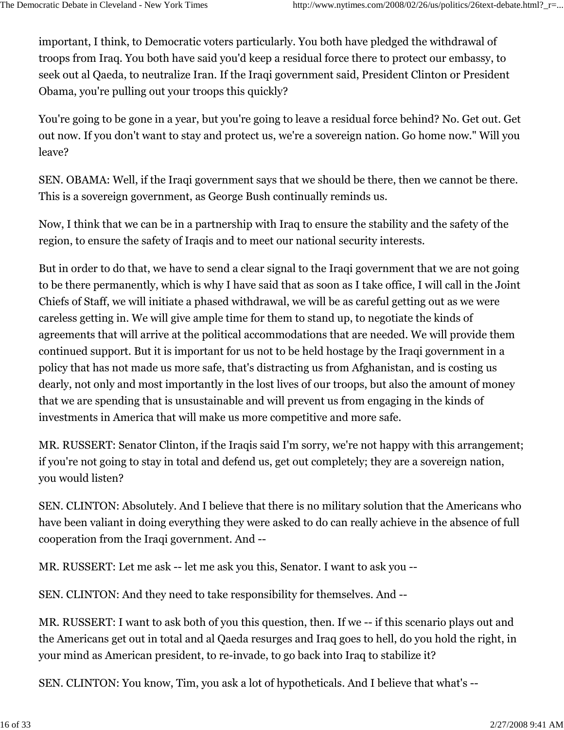important, I think, to Democratic voters particularly. You both have pledged the withdrawal of troops from Iraq. You both have said you'd keep a residual force there to protect our embassy, to seek out al Qaeda, to neutralize Iran. If the Iraqi government said, President Clinton or President Obama, you're pulling out your troops this quickly?

You're going to be gone in a year, but you're going to leave a residual force behind? No. Get out. Get out now. If you don't want to stay and protect us, we're a sovereign nation. Go home now." Will you leave?

SEN. OBAMA: Well, if the Iraqi government says that we should be there, then we cannot be there. This is a sovereign government, as George Bush continually reminds us.

Now, I think that we can be in a partnership with Iraq to ensure the stability and the safety of the region, to ensure the safety of Iraqis and to meet our national security interests.

But in order to do that, we have to send a clear signal to the Iraqi government that we are not going to be there permanently, which is why I have said that as soon as I take office, I will call in the Joint Chiefs of Staff, we will initiate a phased withdrawal, we will be as careful getting out as we were careless getting in. We will give ample time for them to stand up, to negotiate the kinds of agreements that will arrive at the political accommodations that are needed. We will provide them continued support. But it is important for us not to be held hostage by the Iraqi government in a policy that has not made us more safe, that's distracting us from Afghanistan, and is costing us dearly, not only and most importantly in the lost lives of our troops, but also the amount of money that we are spending that is unsustainable and will prevent us from engaging in the kinds of investments in America that will make us more competitive and more safe.

MR. RUSSERT: Senator Clinton, if the Iraqis said I'm sorry, we're not happy with this arrangement; if you're not going to stay in total and defend us, get out completely; they are a sovereign nation, you would listen?

SEN. CLINTON: Absolutely. And I believe that there is no military solution that the Americans who have been valiant in doing everything they were asked to do can really achieve in the absence of full cooperation from the Iraqi government. And --

MR. RUSSERT: Let me ask -- let me ask you this, Senator. I want to ask you --

SEN. CLINTON: And they need to take responsibility for themselves. And --

MR. RUSSERT: I want to ask both of you this question, then. If we -- if this scenario plays out and the Americans get out in total and al Qaeda resurges and Iraq goes to hell, do you hold the right, in your mind as American president, to re-invade, to go back into Iraq to stabilize it?

SEN. CLINTON: You know, Tim, you ask a lot of hypotheticals. And I believe that what's --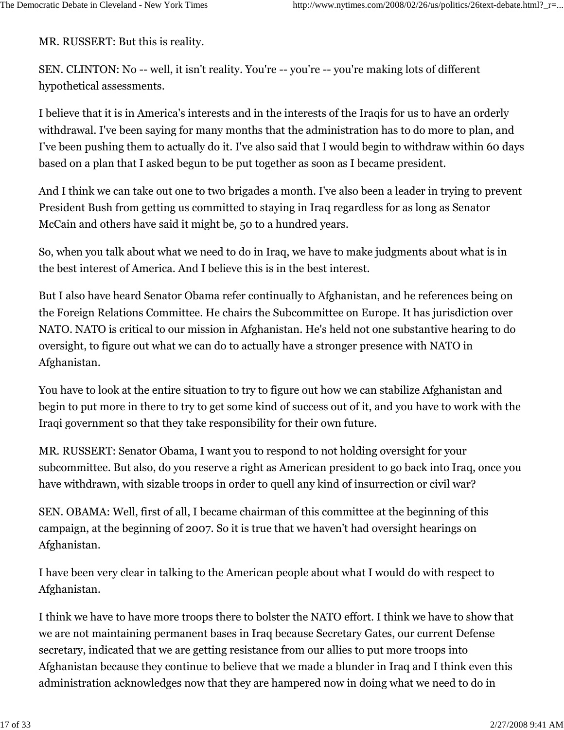MR. RUSSERT: But this is reality.

SEN. CLINTON: No -- well, it isn't reality. You're -- you're -- you're making lots of different hypothetical assessments.

I believe that it is in America's interests and in the interests of the Iraqis for us to have an orderly withdrawal. I've been saying for many months that the administration has to do more to plan, and I've been pushing them to actually do it. I've also said that I would begin to withdraw within 60 days based on a plan that I asked begun to be put together as soon as I became president.

And I think we can take out one to two brigades a month. I've also been a leader in trying to prevent President Bush from getting us committed to staying in Iraq regardless for as long as Senator McCain and others have said it might be, 50 to a hundred years.

So, when you talk about what we need to do in Iraq, we have to make judgments about what is in the best interest of America. And I believe this is in the best interest.

But I also have heard Senator Obama refer continually to Afghanistan, and he references being on the Foreign Relations Committee. He chairs the Subcommittee on Europe. It has jurisdiction over NATO. NATO is critical to our mission in Afghanistan. He's held not one substantive hearing to do oversight, to figure out what we can do to actually have a stronger presence with NATO in Afghanistan.

You have to look at the entire situation to try to figure out how we can stabilize Afghanistan and begin to put more in there to try to get some kind of success out of it, and you have to work with the Iraqi government so that they take responsibility for their own future.

MR. RUSSERT: Senator Obama, I want you to respond to not holding oversight for your subcommittee. But also, do you reserve a right as American president to go back into Iraq, once you have withdrawn, with sizable troops in order to quell any kind of insurrection or civil war?

SEN. OBAMA: Well, first of all, I became chairman of this committee at the beginning of this campaign, at the beginning of 2007. So it is true that we haven't had oversight hearings on Afghanistan.

I have been very clear in talking to the American people about what I would do with respect to Afghanistan.

I think we have to have more troops there to bolster the NATO effort. I think we have to show that we are not maintaining permanent bases in Iraq because Secretary Gates, our current Defense secretary, indicated that we are getting resistance from our allies to put more troops into Afghanistan because they continue to believe that we made a blunder in Iraq and I think even this administration acknowledges now that they are hampered now in doing what we need to do in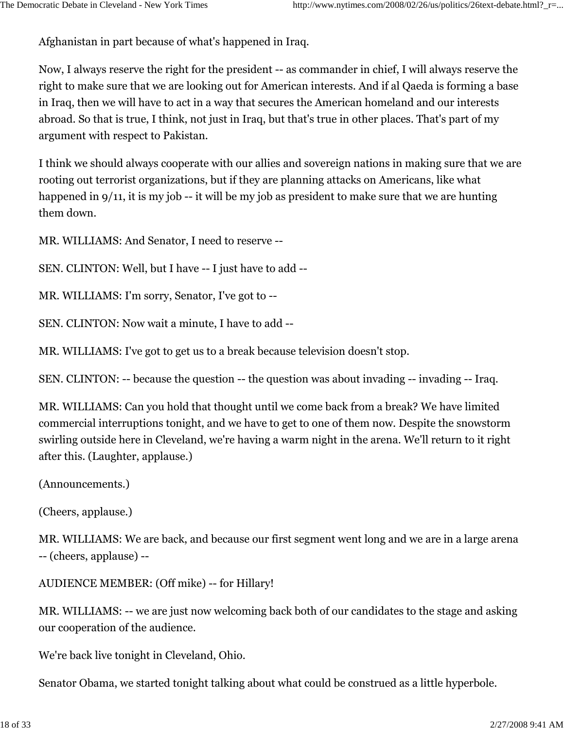Afghanistan in part because of what's happened in Iraq.

Now, I always reserve the right for the president -- as commander in chief, I will always reserve the right to make sure that we are looking out for American interests. And if al Qaeda is forming a base in Iraq, then we will have to act in a way that secures the American homeland and our interests abroad. So that is true, I think, not just in Iraq, but that's true in other places. That's part of my argument with respect to Pakistan.

I think we should always cooperate with our allies and sovereign nations in making sure that we are rooting out terrorist organizations, but if they are planning attacks on Americans, like what happened in 9/11, it is my job -- it will be my job as president to make sure that we are hunting them down.

MR. WILLIAMS: And Senator, I need to reserve --

SEN. CLINTON: Well, but I have -- I just have to add --

MR. WILLIAMS: I'm sorry, Senator, I've got to --

SEN. CLINTON: Now wait a minute, I have to add --

MR. WILLIAMS: I've got to get us to a break because television doesn't stop.

SEN. CLINTON: -- because the question -- the question was about invading -- invading -- Iraq.

MR. WILLIAMS: Can you hold that thought until we come back from a break? We have limited commercial interruptions tonight, and we have to get to one of them now. Despite the snowstorm swirling outside here in Cleveland, we're having a warm night in the arena. We'll return to it right after this. (Laughter, applause.)

(Announcements.)

(Cheers, applause.)

MR. WILLIAMS: We are back, and because our first segment went long and we are in a large arena -- (cheers, applause) --

AUDIENCE MEMBER: (Off mike) -- for Hillary!

MR. WILLIAMS: -- we are just now welcoming back both of our candidates to the stage and asking our cooperation of the audience.

We're back live tonight in Cleveland, Ohio.

Senator Obama, we started tonight talking about what could be construed as a little hyperbole.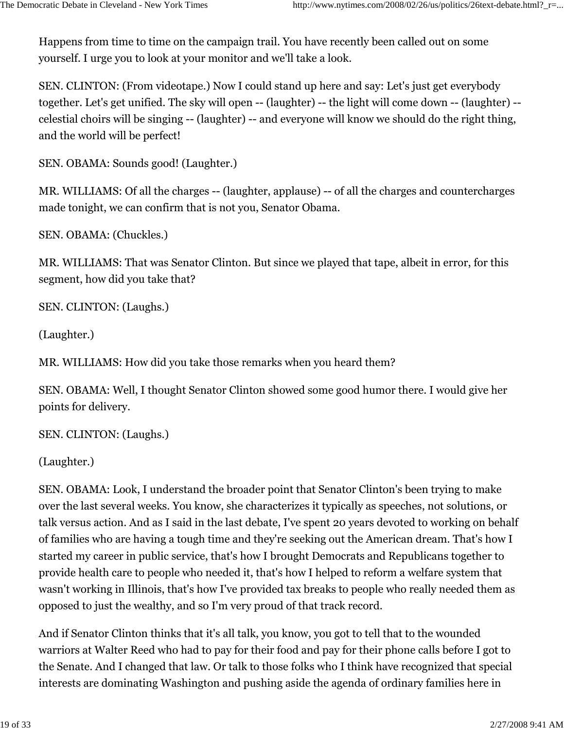Happens from time to time on the campaign trail. You have recently been called out on some yourself. I urge you to look at your monitor and we'll take a look.

SEN. CLINTON: (From videotape.) Now I could stand up here and say: Let's just get everybody together. Let's get unified. The sky will open -- (laughter) -- the light will come down -- (laughter) - celestial choirs will be singing -- (laughter) -- and everyone will know we should do the right thing, and the world will be perfect!

SEN. OBAMA: Sounds good! (Laughter.)

MR. WILLIAMS: Of all the charges -- (laughter, applause) -- of all the charges and countercharges made tonight, we can confirm that is not you, Senator Obama.

SEN. OBAMA: (Chuckles.)

MR. WILLIAMS: That was Senator Clinton. But since we played that tape, albeit in error, for this segment, how did you take that?

```
SEN. CLINTON: (Laughs.)
```
(Laughter.)

MR. WILLIAMS: How did you take those remarks when you heard them?

SEN. OBAMA: Well, I thought Senator Clinton showed some good humor there. I would give her points for delivery.

SEN. CLINTON: (Laughs.)

(Laughter.)

SEN. OBAMA: Look, I understand the broader point that Senator Clinton's been trying to make over the last several weeks. You know, she characterizes it typically as speeches, not solutions, or talk versus action. And as I said in the last debate, I've spent 20 years devoted to working on behalf of families who are having a tough time and they're seeking out the American dream. That's how I started my career in public service, that's how I brought Democrats and Republicans together to provide health care to people who needed it, that's how I helped to reform a welfare system that wasn't working in Illinois, that's how I've provided tax breaks to people who really needed them as opposed to just the wealthy, and so I'm very proud of that track record.

And if Senator Clinton thinks that it's all talk, you know, you got to tell that to the wounded warriors at Walter Reed who had to pay for their food and pay for their phone calls before I got to the Senate. And I changed that law. Or talk to those folks who I think have recognized that special interests are dominating Washington and pushing aside the agenda of ordinary families here in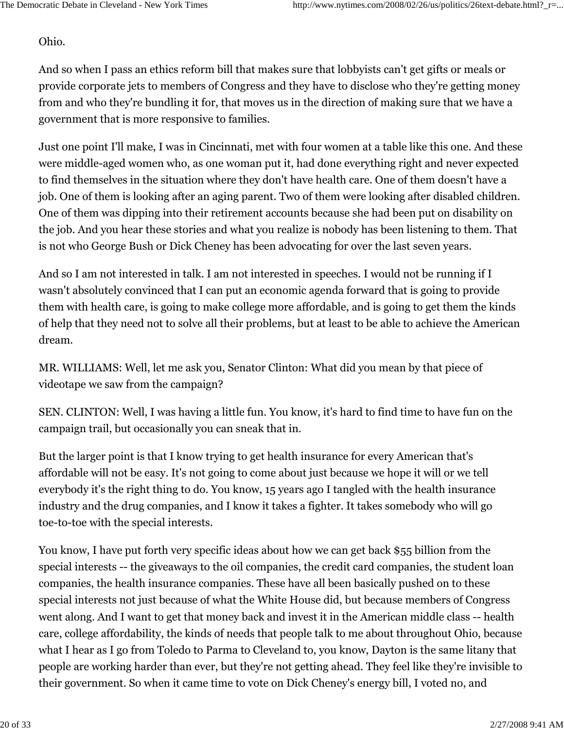Ohio.

And so when I pass an ethics reform bill that makes sure that lobbyists can't get gifts or meals or provide corporate jets to members of Congress and they have to disclose who they're getting money from and who they're bundling it for, that moves us in the direction of making sure that we have a government that is more responsive to families.

Just one point I'll make, I was in Cincinnati, met with four women at a table like this one. And these were middle-aged women who, as one woman put it, had done everything right and never expected to find themselves in the situation where they don't have health care. One of them doesn't have a job. One of them is looking after an aging parent. Two of them were looking after disabled children. One of them was dipping into their retirement accounts because she had been put on disability on the job. And you hear these stories and what you realize is nobody has been listening to them. That is not who George Bush or Dick Cheney has been advocating for over the last seven years.

And so I am not interested in talk. I am not interested in speeches. I would not be running if I wasn't absolutely convinced that I can put an economic agenda forward that is going to provide them with health care, is going to make college more affordable, and is going to get them the kinds of help that they need not to solve all their problems, but at least to be able to achieve the American dream.

MR. WILLIAMS: Well, let me ask you, Senator Clinton: What did you mean by that piece of videotape we saw from the campaign?

SEN. CLINTON: Well, I was having a little fun. You know, it's hard to find time to have fun on the campaign trail, but occasionally you can sneak that in.

But the larger point is that I know trying to get health insurance for every American that's affordable will not be easy. It's not going to come about just because we hope it will or we tell everybody it's the right thing to do. You know, 15 years ago I tangled with the health insurance industry and the drug companies, and I know it takes a fighter. It takes somebody who will go toe-to-toe with the special interests.

You know, I have put forth very specific ideas about how we can get back \$55 billion from the special interests -- the giveaways to the oil companies, the credit card companies, the student loan companies, the health insurance companies. These have all been basically pushed on to these special interests not just because of what the White House did, but because members of Congress went along. And I want to get that money back and invest it in the American middle class -- health care, college affordability, the kinds of needs that people talk to me about throughout Ohio, because what I hear as I go from Toledo to Parma to Cleveland to, you know, Dayton is the same litany that people are working harder than ever, but they're not getting ahead. They feel like they're invisible to their government. So when it came time to vote on Dick Cheney's energy bill, I voted no, and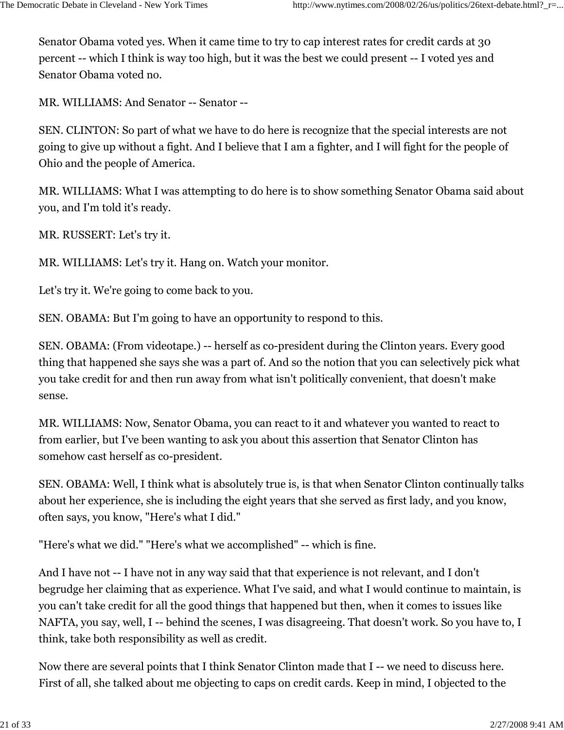Senator Obama voted yes. When it came time to try to cap interest rates for credit cards at 30 percent -- which I think is way too high, but it was the best we could present -- I voted yes and Senator Obama voted no.

MR. WILLIAMS: And Senator -- Senator --

SEN. CLINTON: So part of what we have to do here is recognize that the special interests are not going to give up without a fight. And I believe that I am a fighter, and I will fight for the people of Ohio and the people of America.

MR. WILLIAMS: What I was attempting to do here is to show something Senator Obama said about you, and I'm told it's ready.

MR. RUSSERT: Let's try it.

MR. WILLIAMS: Let's try it. Hang on. Watch your monitor.

Let's try it. We're going to come back to you.

SEN. OBAMA: But I'm going to have an opportunity to respond to this.

SEN. OBAMA: (From videotape.) -- herself as co-president during the Clinton years. Every good thing that happened she says she was a part of. And so the notion that you can selectively pick what you take credit for and then run away from what isn't politically convenient, that doesn't make sense.

MR. WILLIAMS: Now, Senator Obama, you can react to it and whatever you wanted to react to from earlier, but I've been wanting to ask you about this assertion that Senator Clinton has somehow cast herself as co-president.

SEN. OBAMA: Well, I think what is absolutely true is, is that when Senator Clinton continually talks about her experience, she is including the eight years that she served as first lady, and you know, often says, you know, "Here's what I did."

"Here's what we did." "Here's what we accomplished" -- which is fine.

And I have not -- I have not in any way said that that experience is not relevant, and I don't begrudge her claiming that as experience. What I've said, and what I would continue to maintain, is you can't take credit for all the good things that happened but then, when it comes to issues like NAFTA, you say, well, I -- behind the scenes, I was disagreeing. That doesn't work. So you have to, I think, take both responsibility as well as credit.

Now there are several points that I think Senator Clinton made that I -- we need to discuss here. First of all, she talked about me objecting to caps on credit cards. Keep in mind, I objected to the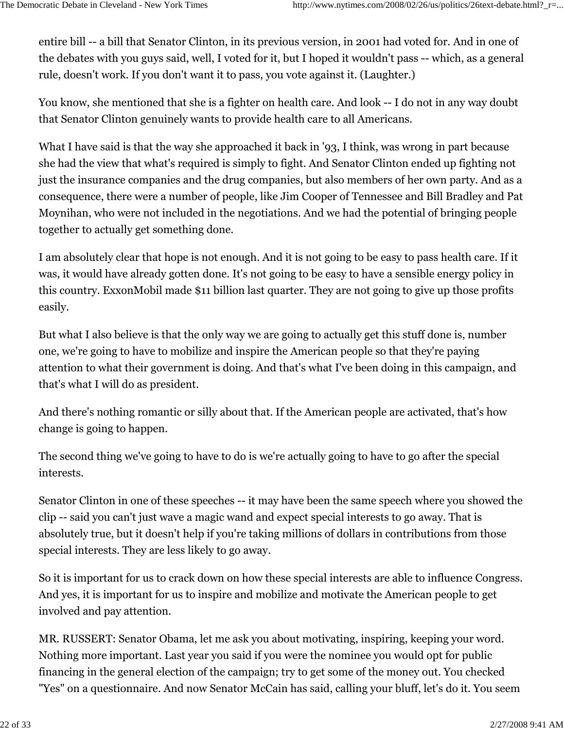entire bill -- a bill that Senator Clinton, in its previous version, in 2001 had voted for. And in one of the debates with you guys said, well, I voted for it, but I hoped it wouldn't pass -- which, as a general rule, doesn't work. If you don't want it to pass, you vote against it. (Laughter.)

You know, she mentioned that she is a fighter on health care. And look -- I do not in any way doubt that Senator Clinton genuinely wants to provide health care to all Americans.

What I have said is that the way she approached it back in '93, I think, was wrong in part because she had the view that what's required is simply to fight. And Senator Clinton ended up fighting not just the insurance companies and the drug companies, but also members of her own party. And as a consequence, there were a number of people, like Jim Cooper of Tennessee and Bill Bradley and Pat Moynihan, who were not included in the negotiations. And we had the potential of bringing people together to actually get something done.

I am absolutely clear that hope is not enough. And it is not going to be easy to pass health care. If it was, it would have already gotten done. It's not going to be easy to have a sensible energy policy in this country. ExxonMobil made \$11 billion last quarter. They are not going to give up those profits easily.

But what I also believe is that the only way we are going to actually get this stuff done is, number one, we're going to have to mobilize and inspire the American people so that they're paying attention to what their government is doing. And that's what I've been doing in this campaign, and that's what I will do as president.

And there's nothing romantic or silly about that. If the American people are activated, that's how change is going to happen.

The second thing we've going to have to do is we're actually going to have to go after the special interests.

Senator Clinton in one of these speeches -- it may have been the same speech where you showed the clip -- said you can't just wave a magic wand and expect special interests to go away. That is absolutely true, but it doesn't help if you're taking millions of dollars in contributions from those special interests. They are less likely to go away.

So it is important for us to crack down on how these special interests are able to influence Congress. And yes, it is important for us to inspire and mobilize and motivate the American people to get involved and pay attention.

MR. RUSSERT: Senator Obama, let me ask you about motivating, inspiring, keeping your word. Nothing more important. Last year you said if you were the nominee you would opt for public financing in the general election of the campaign; try to get some of the money out. You checked "Yes" on a questionnaire. And now Senator McCain has said, calling your bluff, let's do it. You seem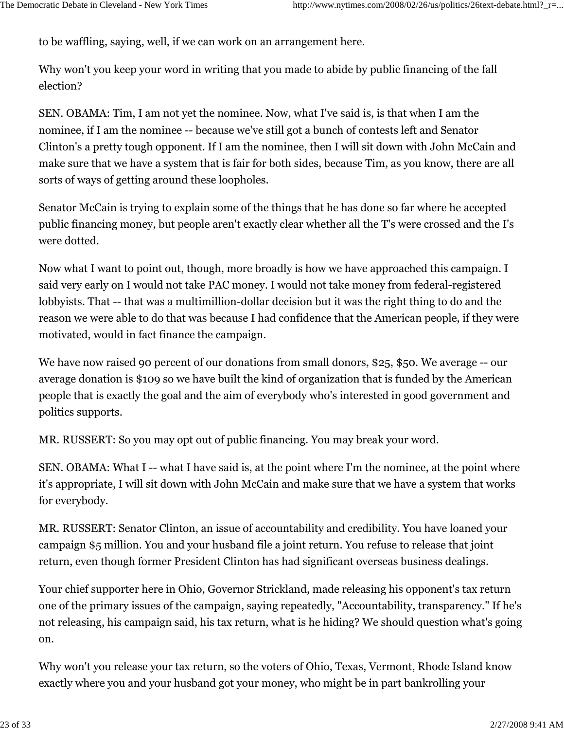to be waffling, saying, well, if we can work on an arrangement here.

Why won't you keep your word in writing that you made to abide by public financing of the fall election?

SEN. OBAMA: Tim, I am not yet the nominee. Now, what I've said is, is that when I am the nominee, if I am the nominee -- because we've still got a bunch of contests left and Senator Clinton's a pretty tough opponent. If I am the nominee, then I will sit down with John McCain and make sure that we have a system that is fair for both sides, because Tim, as you know, there are all sorts of ways of getting around these loopholes.

Senator McCain is trying to explain some of the things that he has done so far where he accepted public financing money, but people aren't exactly clear whether all the T's were crossed and the I's were dotted.

Now what I want to point out, though, more broadly is how we have approached this campaign. I said very early on I would not take PAC money. I would not take money from federal-registered lobbyists. That -- that was a multimillion-dollar decision but it was the right thing to do and the reason we were able to do that was because I had confidence that the American people, if they were motivated, would in fact finance the campaign.

We have now raised 90 percent of our donations from small donors, \$25, \$50. We average -- our average donation is \$109 so we have built the kind of organization that is funded by the American people that is exactly the goal and the aim of everybody who's interested in good government and politics supports.

MR. RUSSERT: So you may opt out of public financing. You may break your word.

SEN. OBAMA: What I -- what I have said is, at the point where I'm the nominee, at the point where it's appropriate, I will sit down with John McCain and make sure that we have a system that works for everybody.

MR. RUSSERT: Senator Clinton, an issue of accountability and credibility. You have loaned your campaign \$5 million. You and your husband file a joint return. You refuse to release that joint return, even though former President Clinton has had significant overseas business dealings.

Your chief supporter here in Ohio, Governor Strickland, made releasing his opponent's tax return one of the primary issues of the campaign, saying repeatedly, "Accountability, transparency." If he's not releasing, his campaign said, his tax return, what is he hiding? We should question what's going on.

Why won't you release your tax return, so the voters of Ohio, Texas, Vermont, Rhode Island know exactly where you and your husband got your money, who might be in part bankrolling your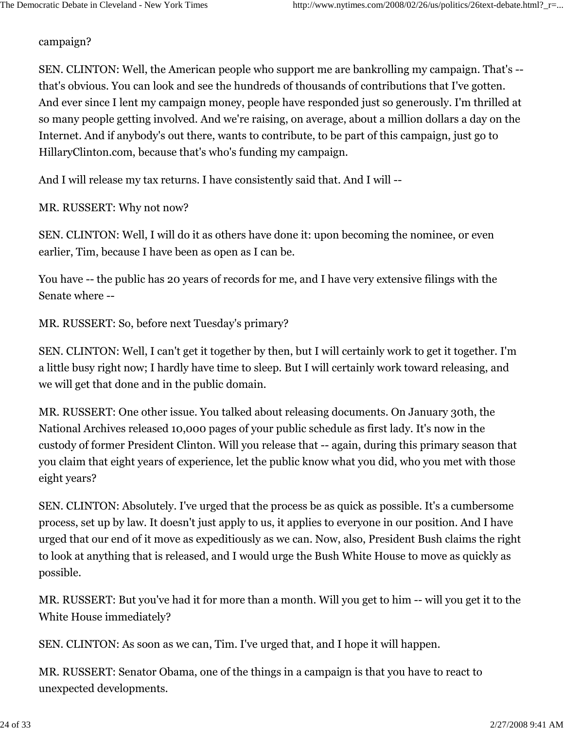#### campaign?

SEN. CLINTON: Well, the American people who support me are bankrolling my campaign. That's - that's obvious. You can look and see the hundreds of thousands of contributions that I've gotten. And ever since I lent my campaign money, people have responded just so generously. I'm thrilled at so many people getting involved. And we're raising, on average, about a million dollars a day on the Internet. And if anybody's out there, wants to contribute, to be part of this campaign, just go to HillaryClinton.com, because that's who's funding my campaign.

And I will release my tax returns. I have consistently said that. And I will --

MR. RUSSERT: Why not now?

SEN. CLINTON: Well, I will do it as others have done it: upon becoming the nominee, or even earlier, Tim, because I have been as open as I can be.

You have -- the public has 20 years of records for me, and I have very extensive filings with the Senate where --

MR. RUSSERT: So, before next Tuesday's primary?

SEN. CLINTON: Well, I can't get it together by then, but I will certainly work to get it together. I'm a little busy right now; I hardly have time to sleep. But I will certainly work toward releasing, and we will get that done and in the public domain.

MR. RUSSERT: One other issue. You talked about releasing documents. On January 30th, the National Archives released 10,000 pages of your public schedule as first lady. It's now in the custody of former President Clinton. Will you release that -- again, during this primary season that you claim that eight years of experience, let the public know what you did, who you met with those eight years?

SEN. CLINTON: Absolutely. I've urged that the process be as quick as possible. It's a cumbersome process, set up by law. It doesn't just apply to us, it applies to everyone in our position. And I have urged that our end of it move as expeditiously as we can. Now, also, President Bush claims the right to look at anything that is released, and I would urge the Bush White House to move as quickly as possible.

MR. RUSSERT: But you've had it for more than a month. Will you get to him -- will you get it to the White House immediately?

SEN. CLINTON: As soon as we can, Tim. I've urged that, and I hope it will happen.

MR. RUSSERT: Senator Obama, one of the things in a campaign is that you have to react to unexpected developments.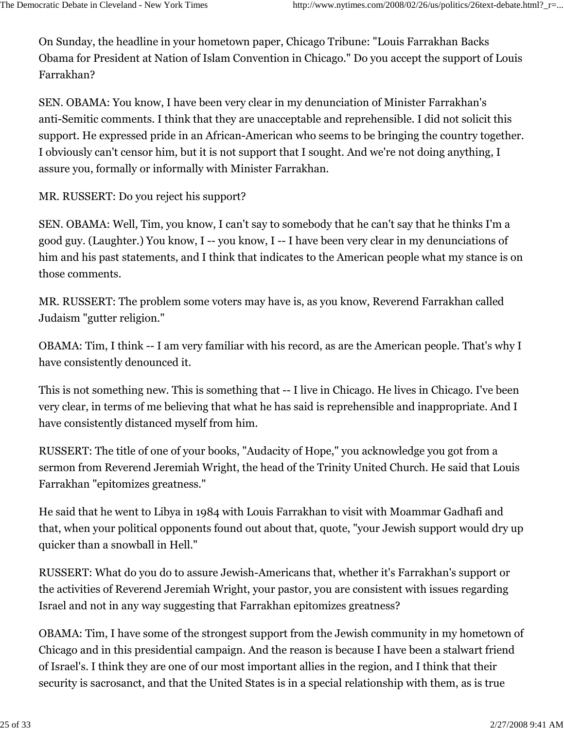On Sunday, the headline in your hometown paper, Chicago Tribune: "Louis Farrakhan Backs Obama for President at Nation of Islam Convention in Chicago." Do you accept the support of Louis Farrakhan?

SEN. OBAMA: You know, I have been very clear in my denunciation of Minister Farrakhan's anti-Semitic comments. I think that they are unacceptable and reprehensible. I did not solicit this support. He expressed pride in an African-American who seems to be bringing the country together. I obviously can't censor him, but it is not support that I sought. And we're not doing anything, I assure you, formally or informally with Minister Farrakhan.

MR. RUSSERT: Do you reject his support?

SEN. OBAMA: Well, Tim, you know, I can't say to somebody that he can't say that he thinks I'm a good guy. (Laughter.) You know, I -- you know, I -- I have been very clear in my denunciations of him and his past statements, and I think that indicates to the American people what my stance is on those comments.

MR. RUSSERT: The problem some voters may have is, as you know, Reverend Farrakhan called Judaism "gutter religion."

OBAMA: Tim, I think -- I am very familiar with his record, as are the American people. That's why I have consistently denounced it.

This is not something new. This is something that -- I live in Chicago. He lives in Chicago. I've been very clear, in terms of me believing that what he has said is reprehensible and inappropriate. And I have consistently distanced myself from him.

RUSSERT: The title of one of your books, "Audacity of Hope," you acknowledge you got from a sermon from Reverend Jeremiah Wright, the head of the Trinity United Church. He said that Louis Farrakhan "epitomizes greatness."

He said that he went to Libya in 1984 with Louis Farrakhan to visit with Moammar Gadhafi and that, when your political opponents found out about that, quote, "your Jewish support would dry up quicker than a snowball in Hell."

RUSSERT: What do you do to assure Jewish-Americans that, whether it's Farrakhan's support or the activities of Reverend Jeremiah Wright, your pastor, you are consistent with issues regarding Israel and not in any way suggesting that Farrakhan epitomizes greatness?

OBAMA: Tim, I have some of the strongest support from the Jewish community in my hometown of Chicago and in this presidential campaign. And the reason is because I have been a stalwart friend of Israel's. I think they are one of our most important allies in the region, and I think that their security is sacrosanct, and that the United States is in a special relationship with them, as is true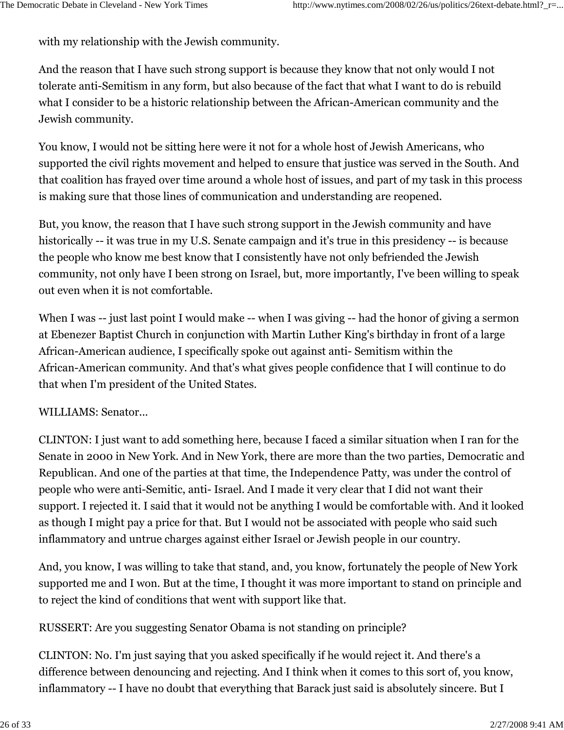with my relationship with the Jewish community.

And the reason that I have such strong support is because they know that not only would I not tolerate anti-Semitism in any form, but also because of the fact that what I want to do is rebuild what I consider to be a historic relationship between the African-American community and the Jewish community.

You know, I would not be sitting here were it not for a whole host of Jewish Americans, who supported the civil rights movement and helped to ensure that justice was served in the South. And that coalition has frayed over time around a whole host of issues, and part of my task in this process is making sure that those lines of communication and understanding are reopened.

But, you know, the reason that I have such strong support in the Jewish community and have historically -- it was true in my U.S. Senate campaign and it's true in this presidency -- is because the people who know me best know that I consistently have not only befriended the Jewish community, not only have I been strong on Israel, but, more importantly, I've been willing to speak out even when it is not comfortable.

When I was -- just last point I would make -- when I was giving -- had the honor of giving a sermon at Ebenezer Baptist Church in conjunction with Martin Luther King's birthday in front of a large African-American audience, I specifically spoke out against anti- Semitism within the African-American community. And that's what gives people confidence that I will continue to do that when I'm president of the United States.

# WILLIAMS: Senator...

CLINTON: I just want to add something here, because I faced a similar situation when I ran for the Senate in 2000 in New York. And in New York, there are more than the two parties, Democratic and Republican. And one of the parties at that time, the Independence Patty, was under the control of people who were anti-Semitic, anti- Israel. And I made it very clear that I did not want their support. I rejected it. I said that it would not be anything I would be comfortable with. And it looked as though I might pay a price for that. But I would not be associated with people who said such inflammatory and untrue charges against either Israel or Jewish people in our country.

And, you know, I was willing to take that stand, and, you know, fortunately the people of New York supported me and I won. But at the time, I thought it was more important to stand on principle and to reject the kind of conditions that went with support like that.

RUSSERT: Are you suggesting Senator Obama is not standing on principle?

CLINTON: No. I'm just saying that you asked specifically if he would reject it. And there's a difference between denouncing and rejecting. And I think when it comes to this sort of, you know, inflammatory -- I have no doubt that everything that Barack just said is absolutely sincere. But I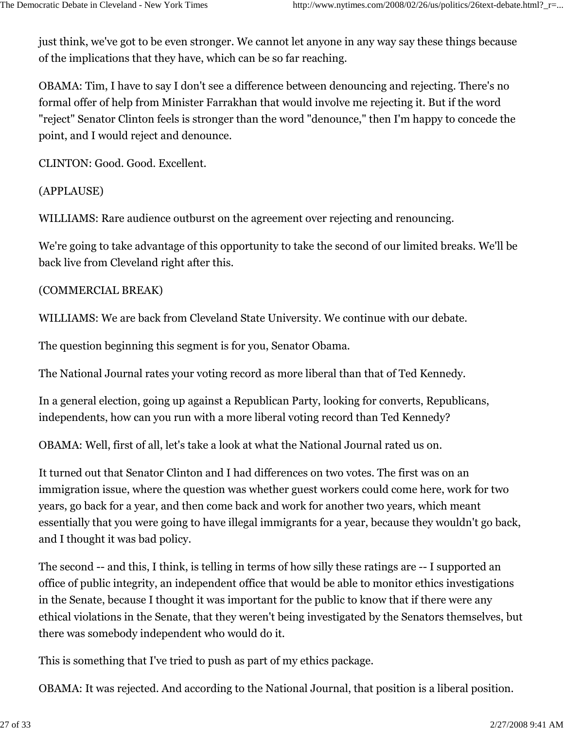just think, we've got to be even stronger. We cannot let anyone in any way say these things because of the implications that they have, which can be so far reaching.

OBAMA: Tim, I have to say I don't see a difference between denouncing and rejecting. There's no formal offer of help from Minister Farrakhan that would involve me rejecting it. But if the word "reject" Senator Clinton feels is stronger than the word "denounce," then I'm happy to concede the point, and I would reject and denounce.

CLINTON: Good. Good. Excellent.

### (APPLAUSE)

WILLIAMS: Rare audience outburst on the agreement over rejecting and renouncing.

We're going to take advantage of this opportunity to take the second of our limited breaks. We'll be back live from Cleveland right after this.

### (COMMERCIAL BREAK)

WILLIAMS: We are back from Cleveland State University. We continue with our debate.

The question beginning this segment is for you, Senator Obama.

The National Journal rates your voting record as more liberal than that of Ted Kennedy.

In a general election, going up against a Republican Party, looking for converts, Republicans, independents, how can you run with a more liberal voting record than Ted Kennedy?

OBAMA: Well, first of all, let's take a look at what the National Journal rated us on.

It turned out that Senator Clinton and I had differences on two votes. The first was on an immigration issue, where the question was whether guest workers could come here, work for two years, go back for a year, and then come back and work for another two years, which meant essentially that you were going to have illegal immigrants for a year, because they wouldn't go back, and I thought it was bad policy.

The second -- and this, I think, is telling in terms of how silly these ratings are -- I supported an office of public integrity, an independent office that would be able to monitor ethics investigations in the Senate, because I thought it was important for the public to know that if there were any ethical violations in the Senate, that they weren't being investigated by the Senators themselves, but there was somebody independent who would do it.

This is something that I've tried to push as part of my ethics package.

OBAMA: It was rejected. And according to the National Journal, that position is a liberal position.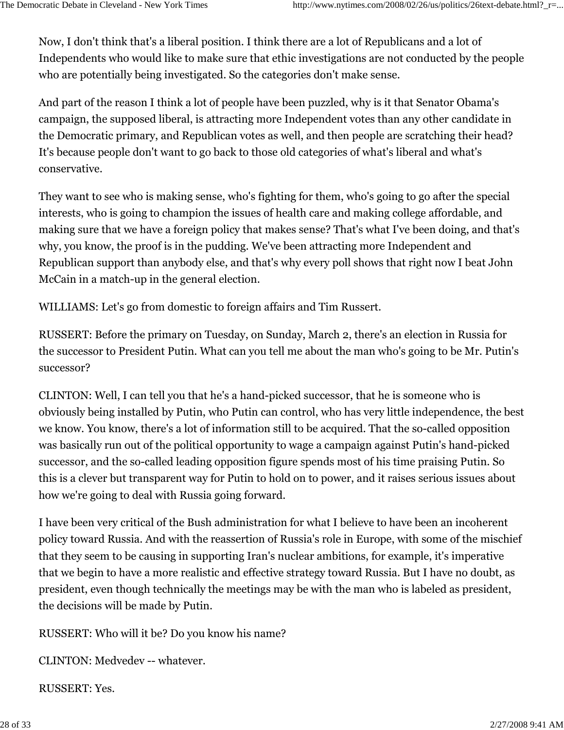Now, I don't think that's a liberal position. I think there are a lot of Republicans and a lot of Independents who would like to make sure that ethic investigations are not conducted by the people who are potentially being investigated. So the categories don't make sense.

And part of the reason I think a lot of people have been puzzled, why is it that Senator Obama's campaign, the supposed liberal, is attracting more Independent votes than any other candidate in the Democratic primary, and Republican votes as well, and then people are scratching their head? It's because people don't want to go back to those old categories of what's liberal and what's conservative.

They want to see who is making sense, who's fighting for them, who's going to go after the special interests, who is going to champion the issues of health care and making college affordable, and making sure that we have a foreign policy that makes sense? That's what I've been doing, and that's why, you know, the proof is in the pudding. We've been attracting more Independent and Republican support than anybody else, and that's why every poll shows that right now I beat John McCain in a match-up in the general election.

WILLIAMS: Let's go from domestic to foreign affairs and Tim Russert.

RUSSERT: Before the primary on Tuesday, on Sunday, March 2, there's an election in Russia for the successor to President Putin. What can you tell me about the man who's going to be Mr. Putin's successor?

CLINTON: Well, I can tell you that he's a hand-picked successor, that he is someone who is obviously being installed by Putin, who Putin can control, who has very little independence, the best we know. You know, there's a lot of information still to be acquired. That the so-called opposition was basically run out of the political opportunity to wage a campaign against Putin's hand-picked successor, and the so-called leading opposition figure spends most of his time praising Putin. So this is a clever but transparent way for Putin to hold on to power, and it raises serious issues about how we're going to deal with Russia going forward.

I have been very critical of the Bush administration for what I believe to have been an incoherent policy toward Russia. And with the reassertion of Russia's role in Europe, with some of the mischief that they seem to be causing in supporting Iran's nuclear ambitions, for example, it's imperative that we begin to have a more realistic and effective strategy toward Russia. But I have no doubt, as president, even though technically the meetings may be with the man who is labeled as president, the decisions will be made by Putin.

RUSSERT: Who will it be? Do you know his name?

CLINTON: Medvedev -- whatever.

RUSSERT: Yes.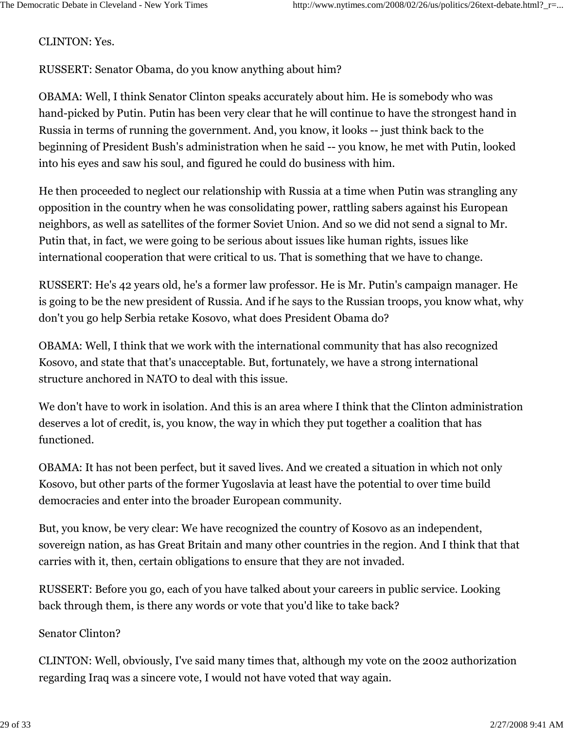CLINTON: Yes.

RUSSERT: Senator Obama, do you know anything about him?

OBAMA: Well, I think Senator Clinton speaks accurately about him. He is somebody who was hand-picked by Putin. Putin has been very clear that he will continue to have the strongest hand in Russia in terms of running the government. And, you know, it looks -- just think back to the beginning of President Bush's administration when he said -- you know, he met with Putin, looked into his eyes and saw his soul, and figured he could do business with him.

He then proceeded to neglect our relationship with Russia at a time when Putin was strangling any opposition in the country when he was consolidating power, rattling sabers against his European neighbors, as well as satellites of the former Soviet Union. And so we did not send a signal to Mr. Putin that, in fact, we were going to be serious about issues like human rights, issues like international cooperation that were critical to us. That is something that we have to change.

RUSSERT: He's 42 years old, he's a former law professor. He is Mr. Putin's campaign manager. He is going to be the new president of Russia. And if he says to the Russian troops, you know what, why don't you go help Serbia retake Kosovo, what does President Obama do?

OBAMA: Well, I think that we work with the international community that has also recognized Kosovo, and state that that's unacceptable. But, fortunately, we have a strong international structure anchored in NATO to deal with this issue.

We don't have to work in isolation. And this is an area where I think that the Clinton administration deserves a lot of credit, is, you know, the way in which they put together a coalition that has functioned.

OBAMA: It has not been perfect, but it saved lives. And we created a situation in which not only Kosovo, but other parts of the former Yugoslavia at least have the potential to over time build democracies and enter into the broader European community.

But, you know, be very clear: We have recognized the country of Kosovo as an independent, sovereign nation, as has Great Britain and many other countries in the region. And I think that that carries with it, then, certain obligations to ensure that they are not invaded.

RUSSERT: Before you go, each of you have talked about your careers in public service. Looking back through them, is there any words or vote that you'd like to take back?

Senator Clinton?

CLINTON: Well, obviously, I've said many times that, although my vote on the 2002 authorization regarding Iraq was a sincere vote, I would not have voted that way again.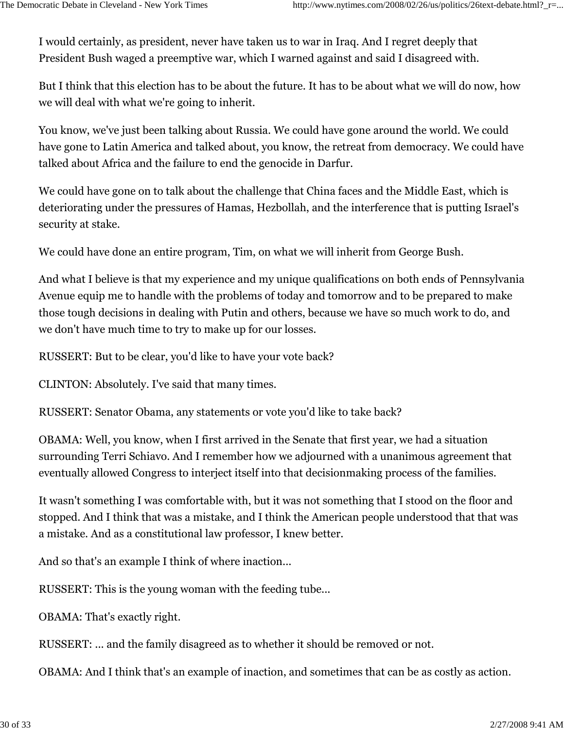I would certainly, as president, never have taken us to war in Iraq. And I regret deeply that President Bush waged a preemptive war, which I warned against and said I disagreed with.

But I think that this election has to be about the future. It has to be about what we will do now, how we will deal with what we're going to inherit.

You know, we've just been talking about Russia. We could have gone around the world. We could have gone to Latin America and talked about, you know, the retreat from democracy. We could have talked about Africa and the failure to end the genocide in Darfur.

We could have gone on to talk about the challenge that China faces and the Middle East, which is deteriorating under the pressures of Hamas, Hezbollah, and the interference that is putting Israel's security at stake.

We could have done an entire program, Tim, on what we will inherit from George Bush.

And what I believe is that my experience and my unique qualifications on both ends of Pennsylvania Avenue equip me to handle with the problems of today and tomorrow and to be prepared to make those tough decisions in dealing with Putin and others, because we have so much work to do, and we don't have much time to try to make up for our losses.

RUSSERT: But to be clear, you'd like to have your vote back?

CLINTON: Absolutely. I've said that many times.

RUSSERT: Senator Obama, any statements or vote you'd like to take back?

OBAMA: Well, you know, when I first arrived in the Senate that first year, we had a situation surrounding Terri Schiavo. And I remember how we adjourned with a unanimous agreement that eventually allowed Congress to interject itself into that decisionmaking process of the families.

It wasn't something I was comfortable with, but it was not something that I stood on the floor and stopped. And I think that was a mistake, and I think the American people understood that that was a mistake. And as a constitutional law professor, I knew better.

And so that's an example I think of where inaction...

RUSSERT: This is the young woman with the feeding tube...

OBAMA: That's exactly right.

RUSSERT: ... and the family disagreed as to whether it should be removed or not.

OBAMA: And I think that's an example of inaction, and sometimes that can be as costly as action.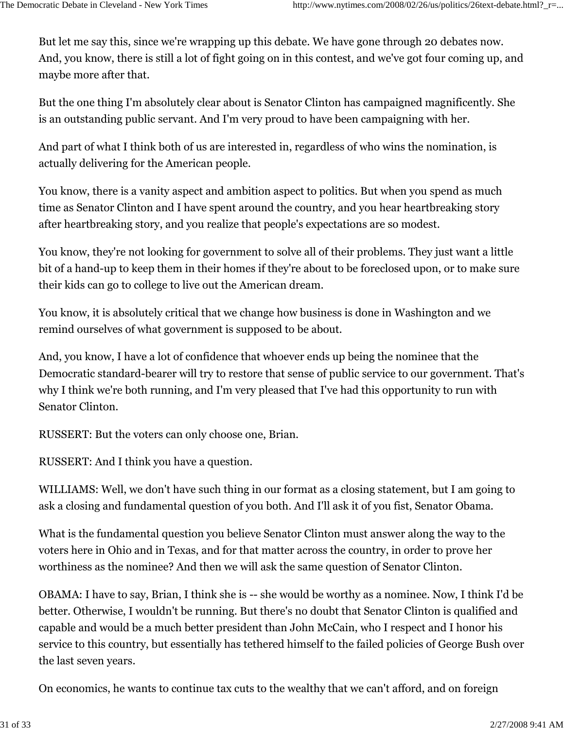But let me say this, since we're wrapping up this debate. We have gone through 20 debates now. And, you know, there is still a lot of fight going on in this contest, and we've got four coming up, and maybe more after that.

But the one thing I'm absolutely clear about is Senator Clinton has campaigned magnificently. She is an outstanding public servant. And I'm very proud to have been campaigning with her.

And part of what I think both of us are interested in, regardless of who wins the nomination, is actually delivering for the American people.

You know, there is a vanity aspect and ambition aspect to politics. But when you spend as much time as Senator Clinton and I have spent around the country, and you hear heartbreaking story after heartbreaking story, and you realize that people's expectations are so modest.

You know, they're not looking for government to solve all of their problems. They just want a little bit of a hand-up to keep them in their homes if they're about to be foreclosed upon, or to make sure their kids can go to college to live out the American dream.

You know, it is absolutely critical that we change how business is done in Washington and we remind ourselves of what government is supposed to be about.

And, you know, I have a lot of confidence that whoever ends up being the nominee that the Democratic standard-bearer will try to restore that sense of public service to our government. That's why I think we're both running, and I'm very pleased that I've had this opportunity to run with Senator Clinton.

RUSSERT: But the voters can only choose one, Brian.

RUSSERT: And I think you have a question.

WILLIAMS: Well, we don't have such thing in our format as a closing statement, but I am going to ask a closing and fundamental question of you both. And I'll ask it of you fist, Senator Obama.

What is the fundamental question you believe Senator Clinton must answer along the way to the voters here in Ohio and in Texas, and for that matter across the country, in order to prove her worthiness as the nominee? And then we will ask the same question of Senator Clinton.

OBAMA: I have to say, Brian, I think she is -- she would be worthy as a nominee. Now, I think I'd be better. Otherwise, I wouldn't be running. But there's no doubt that Senator Clinton is qualified and capable and would be a much better president than John McCain, who I respect and I honor his service to this country, but essentially has tethered himself to the failed policies of George Bush over the last seven years.

On economics, he wants to continue tax cuts to the wealthy that we can't afford, and on foreign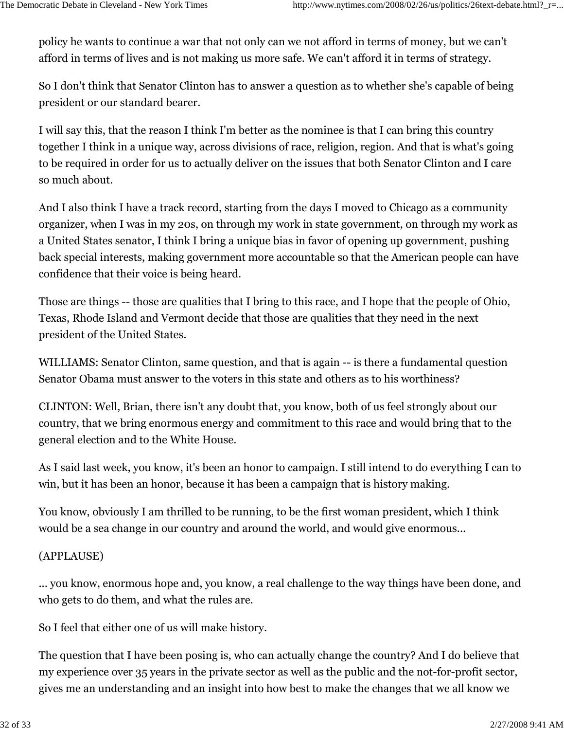policy he wants to continue a war that not only can we not afford in terms of money, but we can't afford in terms of lives and is not making us more safe. We can't afford it in terms of strategy.

So I don't think that Senator Clinton has to answer a question as to whether she's capable of being president or our standard bearer.

I will say this, that the reason I think I'm better as the nominee is that I can bring this country together I think in a unique way, across divisions of race, religion, region. And that is what's going to be required in order for us to actually deliver on the issues that both Senator Clinton and I care so much about.

And I also think I have a track record, starting from the days I moved to Chicago as a community organizer, when I was in my 20s, on through my work in state government, on through my work as a United States senator, I think I bring a unique bias in favor of opening up government, pushing back special interests, making government more accountable so that the American people can have confidence that their voice is being heard.

Those are things -- those are qualities that I bring to this race, and I hope that the people of Ohio, Texas, Rhode Island and Vermont decide that those are qualities that they need in the next president of the United States.

WILLIAMS: Senator Clinton, same question, and that is again -- is there a fundamental question Senator Obama must answer to the voters in this state and others as to his worthiness?

CLINTON: Well, Brian, there isn't any doubt that, you know, both of us feel strongly about our country, that we bring enormous energy and commitment to this race and would bring that to the general election and to the White House.

As I said last week, you know, it's been an honor to campaign. I still intend to do everything I can to win, but it has been an honor, because it has been a campaign that is history making.

You know, obviously I am thrilled to be running, to be the first woman president, which I think would be a sea change in our country and around the world, and would give enormous...

#### (APPLAUSE)

... you know, enormous hope and, you know, a real challenge to the way things have been done, and who gets to do them, and what the rules are.

So I feel that either one of us will make history.

The question that I have been posing is, who can actually change the country? And I do believe that my experience over 35 years in the private sector as well as the public and the not-for-profit sector, gives me an understanding and an insight into how best to make the changes that we all know we